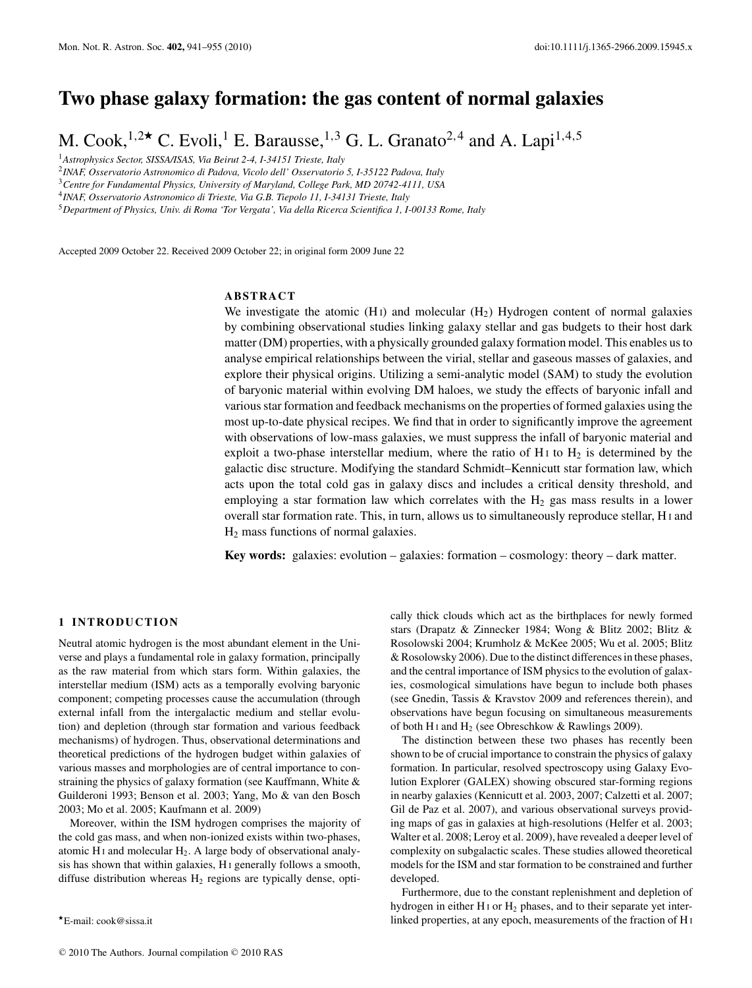# **Two phase galaxy formation: the gas content of normal galaxies**

M. Cook,<sup>1</sup>*,*2*-* C. Evoli,<sup>1</sup> E. Barausse,1*,*<sup>3</sup> G. L. Granato2*,*<sup>4</sup> and A. Lapi1*,*4*,*<sup>5</sup>

<sup>1</sup>*Astrophysics Sector, SISSA/ISAS, Via Beirut 2-4, I-34151 Trieste, Italy*

<sup>2</sup>*INAF, Osservatorio Astronomico di Padova, Vicolo dell' Osservatorio 5, I-35122 Padova, Italy*

<sup>3</sup>*Centre for Fundamental Physics, University of Maryland, College Park, MD 20742-4111, USA*

<sup>4</sup>*INAF, Osservatorio Astronomico di Trieste, Via G.B. Tiepolo 11, I-34131 Trieste, Italy*

<sup>5</sup>*Department of Physics, Univ. di Roma 'Tor Vergata', Via della Ricerca Scientifica 1, I-00133 Rome, Italy*

Accepted 2009 October 22. Received 2009 October 22; in original form 2009 June 22

## **ABSTRACT**

We investigate the atomic  $(H<sub>I</sub>)$  and molecular  $(H<sub>2</sub>)$  Hydrogen content of normal galaxies by combining observational studies linking galaxy stellar and gas budgets to their host dark matter (DM) properties, with a physically grounded galaxy formation model. This enables us to analyse empirical relationships between the virial, stellar and gaseous masses of galaxies, and explore their physical origins. Utilizing a semi-analytic model (SAM) to study the evolution of baryonic material within evolving DM haloes, we study the effects of baryonic infall and various star formation and feedback mechanisms on the properties of formed galaxies using the most up-to-date physical recipes. We find that in order to significantly improve the agreement with observations of low-mass galaxies, we must suppress the infall of baryonic material and exploit a two-phase interstellar medium, where the ratio of H<sub>1</sub> to H<sub>2</sub> is determined by the galactic disc structure. Modifying the standard Schmidt–Kennicutt star formation law, which acts upon the total cold gas in galaxy discs and includes a critical density threshold, and employing a star formation law which correlates with the  $H_2$  gas mass results in a lower overall star formation rate. This, in turn, allows us to simultaneously reproduce stellar, H <sup>I</sup> and H2 mass functions of normal galaxies.

**Key words:** galaxies: evolution – galaxies: formation – cosmology: theory – dark matter.

## **1 INTRODUCTION**

Neutral atomic hydrogen is the most abundant element in the Universe and plays a fundamental role in galaxy formation, principally as the raw material from which stars form. Within galaxies, the interstellar medium (ISM) acts as a temporally evolving baryonic component; competing processes cause the accumulation (through external infall from the intergalactic medium and stellar evolution) and depletion (through star formation and various feedback mechanisms) of hydrogen. Thus, observational determinations and theoretical predictions of the hydrogen budget within galaxies of various masses and morphologies are of central importance to constraining the physics of galaxy formation (see Kauffmann, White & Guilderoni 1993; Benson et al. 2003; Yang, Mo & van den Bosch 2003; Mo et al. 2005; Kaufmann et al. 2009)

Moreover, within the ISM hydrogen comprises the majority of the cold gas mass, and when non-ionized exists within two-phases, atomic H<sub>1</sub> and molecular  $H_2$ . A large body of observational analysis has shown that within galaxies, H<sub>I</sub> generally follows a smooth, diffuse distribution whereas  $H_2$  regions are typically dense, opti-

*-*E-mail: cook@sissa.it

cally thick clouds which act as the birthplaces for newly formed stars (Drapatz & Zinnecker 1984; Wong & Blitz 2002; Blitz & Rosolowski 2004; Krumholz & McKee 2005; Wu et al. 2005; Blitz & Rosolowsky 2006). Due to the distinct differences in these phases, and the central importance of ISM physics to the evolution of galaxies, cosmological simulations have begun to include both phases (see Gnedin, Tassis & Kravstov 2009 and references therein), and observations have begun focusing on simultaneous measurements of both H<sub>1</sub> and H<sub>2</sub> (see Obreschkow & Rawlings 2009).

The distinction between these two phases has recently been shown to be of crucial importance to constrain the physics of galaxy formation. In particular, resolved spectroscopy using Galaxy Evolution Explorer (GALEX) showing obscured star-forming regions in nearby galaxies (Kennicutt et al. 2003, 2007; Calzetti et al. 2007; Gil de Paz et al. 2007), and various observational surveys providing maps of gas in galaxies at high-resolutions (Helfer et al. 2003; Walter et al. 2008; Leroy et al. 2009), have revealed a deeper level of complexity on subgalactic scales. These studies allowed theoretical models for the ISM and star formation to be constrained and further developed.

Furthermore, due to the constant replenishment and depletion of hydrogen in either  $H_1$  or  $H_2$  phases, and to their separate yet interlinked properties, at any epoch, measurements of the fraction of H <sup>I</sup>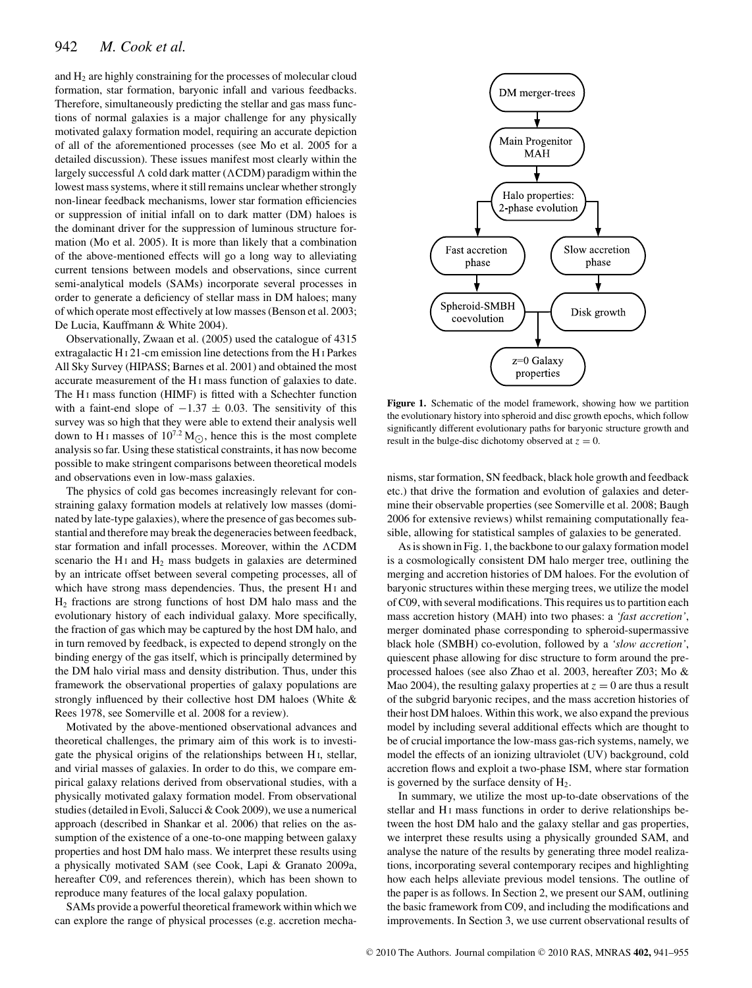## 942 *M. Cook et al.*

and  $H_2$  are highly constraining for the processes of molecular cloud formation, star formation, baryonic infall and various feedbacks. Therefore, simultaneously predicting the stellar and gas mass functions of normal galaxies is a major challenge for any physically motivated galaxy formation model, requiring an accurate depiction of all of the aforementioned processes (see Mo et al. 2005 for a detailed discussion). These issues manifest most clearly within the largely successful  $\Lambda$  cold dark matter ( $\Lambda$ CDM) paradigm within the lowest mass systems, where it still remains unclear whether strongly non-linear feedback mechanisms, lower star formation efficiencies or suppression of initial infall on to dark matter (DM) haloes is the dominant driver for the suppression of luminous structure formation (Mo et al. 2005). It is more than likely that a combination of the above-mentioned effects will go a long way to alleviating current tensions between models and observations, since current semi-analytical models (SAMs) incorporate several processes in order to generate a deficiency of stellar mass in DM haloes; many of which operate most effectively at low masses (Benson et al. 2003; De Lucia, Kauffmann & White 2004).

Observationally, Zwaan et al. (2005) used the catalogue of 4315 extragalactic H <sup>I</sup> 21-cm emission line detections from the H <sup>I</sup> Parkes All Sky Survey (HIPASS; Barnes et al. 2001) and obtained the most accurate measurement of the H <sup>I</sup> mass function of galaxies to date. The H<sub>I</sub> mass function (HIMF) is fitted with a Schechter function with a faint-end slope of  $-1.37 \pm 0.03$ . The sensitivity of this survey was so high that they were able to extend their analysis well down to H<sub>I</sub> masses of  $10^{7.2}$  M<sub>( $\odot$ </sub>), hence this is the most complete analysis so far. Using these statistical constraints, it has now become possible to make stringent comparisons between theoretical models and observations even in low-mass galaxies.

The physics of cold gas becomes increasingly relevant for constraining galaxy formation models at relatively low masses (dominated by late-type galaxies), where the presence of gas becomes substantial and therefore may break the degeneracies between feedback, star formation and infall processes. Moreover, within the ACDM scenario the H<sub>1</sub> and H<sub>2</sub> mass budgets in galaxies are determined by an intricate offset between several competing processes, all of which have strong mass dependencies. Thus, the present H<sub>I</sub> and H2 fractions are strong functions of host DM halo mass and the evolutionary history of each individual galaxy. More specifically, the fraction of gas which may be captured by the host DM halo, and in turn removed by feedback, is expected to depend strongly on the binding energy of the gas itself, which is principally determined by the DM halo virial mass and density distribution. Thus, under this framework the observational properties of galaxy populations are strongly influenced by their collective host DM haloes (White & Rees 1978, see Somerville et al. 2008 for a review).

Motivated by the above-mentioned observational advances and theoretical challenges, the primary aim of this work is to investigate the physical origins of the relationships between H I, stellar, and virial masses of galaxies. In order to do this, we compare empirical galaxy relations derived from observational studies, with a physically motivated galaxy formation model. From observational studies (detailed in Evoli, Salucci & Cook 2009), we use a numerical approach (described in Shankar et al. 2006) that relies on the assumption of the existence of a one-to-one mapping between galaxy properties and host DM halo mass. We interpret these results using a physically motivated SAM (see Cook, Lapi & Granato 2009a, hereafter C09, and references therein), which has been shown to reproduce many features of the local galaxy population.

SAMs provide a powerful theoretical framework within which we can explore the range of physical processes (e.g. accretion mecha-



Figure 1. Schematic of the model framework, showing how we partition the evolutionary history into spheroid and disc growth epochs, which follow significantly different evolutionary paths for baryonic structure growth and result in the bulge-disc dichotomy observed at  $z = 0$ .

nisms, star formation, SN feedback, black hole growth and feedback etc.) that drive the formation and evolution of galaxies and determine their observable properties (see Somerville et al. 2008; Baugh 2006 for extensive reviews) whilst remaining computationally feasible, allowing for statistical samples of galaxies to be generated.

As is shown in Fig. 1, the backbone to our galaxy formation model is a cosmologically consistent DM halo merger tree, outlining the merging and accretion histories of DM haloes. For the evolution of baryonic structures within these merging trees, we utilize the model of C09, with several modifications. This requires us to partition each mass accretion history (MAH) into two phases: a *'fast accretion'*, merger dominated phase corresponding to spheroid-supermassive black hole (SMBH) co-evolution, followed by a *'slow accretion'*, quiescent phase allowing for disc structure to form around the preprocessed haloes (see also Zhao et al. 2003, hereafter Z03; Mo & Mao 2004), the resulting galaxy properties at  $z = 0$  are thus a result of the subgrid baryonic recipes, and the mass accretion histories of their host DM haloes. Within this work, we also expand the previous model by including several additional effects which are thought to be of crucial importance the low-mass gas-rich systems, namely, we model the effects of an ionizing ultraviolet (UV) background, cold accretion flows and exploit a two-phase ISM, where star formation is governed by the surface density of  $H<sub>2</sub>$ .

In summary, we utilize the most up-to-date observations of the stellar and H<sub>I</sub> mass functions in order to derive relationships between the host DM halo and the galaxy stellar and gas properties, we interpret these results using a physically grounded SAM, and analyse the nature of the results by generating three model realizations, incorporating several contemporary recipes and highlighting how each helps alleviate previous model tensions. The outline of the paper is as follows. In Section 2, we present our SAM, outlining the basic framework from C09, and including the modifications and improvements. In Section 3, we use current observational results of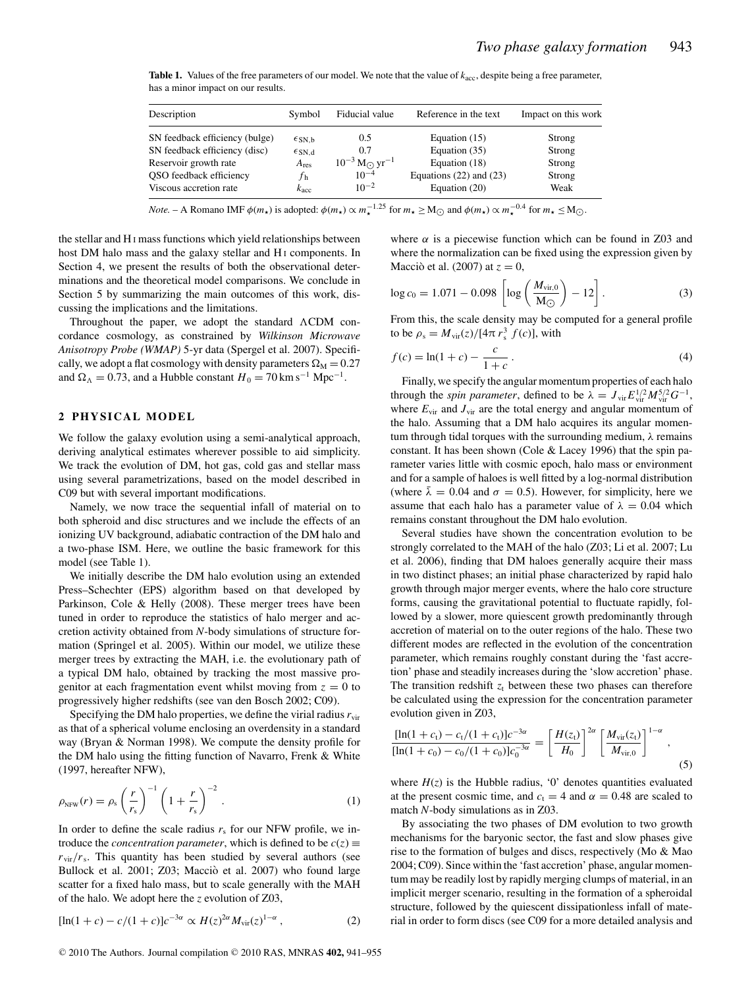| Description                    | Symbol                 | Fiducial value                                             | Reference in the text       | Impact on this work |
|--------------------------------|------------------------|------------------------------------------------------------|-----------------------------|---------------------|
| SN feedback efficiency (bulge) | $\epsilon_{SN,b}$      | 0.5                                                        | Equation $(15)$             | Strong              |
| SN feedback efficiency (disc)  | $\epsilon_{\rm SN, d}$ | 0.7                                                        | Equation (35)               | Strong              |
| Reservoir growth rate          | $A_{\text{res}}$       | $10^{-3}$ M <sub><math>\odot</math></sub> yr <sup>-1</sup> | Equation (18)               | Strong              |
| OSO feedback efficiency        | f <sub>h</sub>         | $10^{-4}$                                                  | Equations $(22)$ and $(23)$ | Strong              |
| Viscous accretion rate         | $k_{\rm acc}$          | $10^{-2}$                                                  | Equation (20)               | Weak                |

**Table 1.** Values of the free parameters of our model. We note that the value of  $k_{\text{acc}}$ , despite being a free parameter, has a minor impact on our results.

*Note.* – A Romano IMF  $\phi(m_{\star})$  is adopted:  $\phi(m_{\star}) \propto m_{\star}^{-1.25}$  for  $m_{\star} \ge M_{\odot}$  and  $\phi(m_{\star}) \propto m_{\star}^{-0.4}$  for  $m_{\star} \le M_{\odot}$ .

the stellar and H <sup>I</sup> mass functions which yield relationships between host DM halo mass and the galaxy stellar and H<sub>1</sub> components. In Section 4, we present the results of both the observational determinations and the theoretical model comparisons. We conclude in Section 5 by summarizing the main outcomes of this work, discussing the implications and the limitations.

Throughout the paper, we adopt the standard  $\Lambda$ CDM concordance cosmology, as constrained by *Wilkinson Microwave Anisotropy Probe (WMAP)* 5-yr data (Spergel et al. 2007). Specifically, we adopt a flat cosmology with density parameters  $\Omega_M = 0.27$ and  $\Omega_{\Lambda} = 0.73$ , and a Hubble constant  $H_0 = 70 \text{ km s}^{-1} \text{ Mpc}^{-1}$ .

## **2 PHYSICAL MODEL**

We follow the galaxy evolution using a semi-analytical approach, deriving analytical estimates wherever possible to aid simplicity. We track the evolution of DM, hot gas, cold gas and stellar mass using several parametrizations, based on the model described in C09 but with several important modifications.

Namely, we now trace the sequential infall of material on to both spheroid and disc structures and we include the effects of an ionizing UV background, adiabatic contraction of the DM halo and a two-phase ISM. Here, we outline the basic framework for this model (see Table 1).

We initially describe the DM halo evolution using an extended Press–Schechter (EPS) algorithm based on that developed by Parkinson, Cole & Helly (2008). These merger trees have been tuned in order to reproduce the statistics of halo merger and accretion activity obtained from *N*-body simulations of structure formation (Springel et al. 2005). Within our model, we utilize these merger trees by extracting the MAH, i.e. the evolutionary path of a typical DM halo, obtained by tracking the most massive progenitor at each fragmentation event whilst moving from  $z = 0$  to progressively higher redshifts (see van den Bosch 2002; C09).

Specifying the DM halo properties, we define the virial radius  $r_{\text{vir}}$ as that of a spherical volume enclosing an overdensity in a standard way (Bryan & Norman 1998). We compute the density profile for the DM halo using the fitting function of Navarro, Frenk & White (1997, hereafter NFW),

$$
\rho_{\text{NFW}}(r) = \rho_{\text{s}} \left(\frac{r}{r_{\text{s}}}\right)^{-1} \left(1 + \frac{r}{r_{\text{s}}}\right)^{-2}.
$$
\n(1)

In order to define the scale radius  $r_s$  for our NFW profile, we introduce the *concentration parameter*, which is defined to be  $c(z) \equiv$  $r_{\text{vir}}/r_{\text{s}}$ . This quantity has been studied by several authors (see Bullock et al. 2001; Z03; Macciò et al. 2007) who found large scatter for a fixed halo mass, but to scale generally with the MAH of the halo. We adopt here the *z* evolution of Z03,

$$
[\ln(1+c) - c/(1+c)]c^{-3\alpha} \propto H(z)^{2\alpha} M_{\rm vir}(z)^{1-\alpha}, \qquad (2)
$$

© 2010 The Authors. Journal compilation © 2010 RAS, MNRAS 402, 941-955

where  $\alpha$  is a piecewise function which can be found in Z03 and where the normalization can be fixed using the expression given by Macciò et al. (2007) at  $z = 0$ ,

$$
\log c_0 = 1.071 - 0.098 \left[ \log \left( \frac{M_{\rm vir,0}}{M_{\odot}} \right) - 12 \right]. \tag{3}
$$

From this, the scale density may be computed for a general profile to be  $\rho_s = M_{\rm vir}(z) / [4\pi r_s^3 f(c)]$ , with

$$
f(c) = \ln(1+c) - \frac{c}{1+c} \,. \tag{4}
$$

Finally, we specify the angular momentum properties of each halo through the *spin parameter*, defined to be  $\lambda = J_{\rm vir} E_{\rm vir}^{1/2} M_{\rm vir}^{5/2} G^{-1}$ , where  $E_{\text{vir}}$  and  $J_{\text{vir}}$  are the total energy and angular momentum of the halo. Assuming that a DM halo acquires its angular momentum through tidal torques with the surrounding medium, *λ* remains constant. It has been shown (Cole & Lacey 1996) that the spin parameter varies little with cosmic epoch, halo mass or environment and for a sample of haloes is well fitted by a log-normal distribution (where  $\bar{\lambda} = 0.04$  and  $\sigma = 0.5$ ). However, for simplicity, here we assume that each halo has a parameter value of  $\lambda = 0.04$  which remains constant throughout the DM halo evolution.

Several studies have shown the concentration evolution to be strongly correlated to the MAH of the halo (Z03; Li et al. 2007; Lu et al. 2006), finding that DM haloes generally acquire their mass in two distinct phases; an initial phase characterized by rapid halo growth through major merger events, where the halo core structure forms, causing the gravitational potential to fluctuate rapidly, followed by a slower, more quiescent growth predominantly through accretion of material on to the outer regions of the halo. These two different modes are reflected in the evolution of the concentration parameter, which remains roughly constant during the 'fast accretion' phase and steadily increases during the 'slow accretion' phase. The transition redshift  $z_t$  between these two phases can therefore be calculated using the expression for the concentration parameter evolution given in Z03,

$$
\frac{[\ln(1+c_1)-c_1/(1+c_1)]c^{-3\alpha}}{[\ln(1+c_0)-c_0/(1+c_0)]c_0^{-3\alpha}} = \left[\frac{H(z_t)}{H_0}\right]^{2\alpha} \left[\frac{M_{\rm vir}(z_t)}{M_{\rm vir,0}}\right]^{1-\alpha},\tag{5}
$$

where  $H(z)$  is the Hubble radius, '0' denotes quantities evaluated at the present cosmic time, and  $c_t = 4$  and  $\alpha = 0.48$  are scaled to match *N*-body simulations as in Z03.

By associating the two phases of DM evolution to two growth mechanisms for the baryonic sector, the fast and slow phases give rise to the formation of bulges and discs, respectively (Mo & Mao 2004; C09). Since within the 'fast accretion' phase, angular momentum may be readily lost by rapidly merging clumps of material, in an implicit merger scenario, resulting in the formation of a spheroidal structure, followed by the quiescent dissipationless infall of material in order to form discs (see C09 for a more detailed analysis and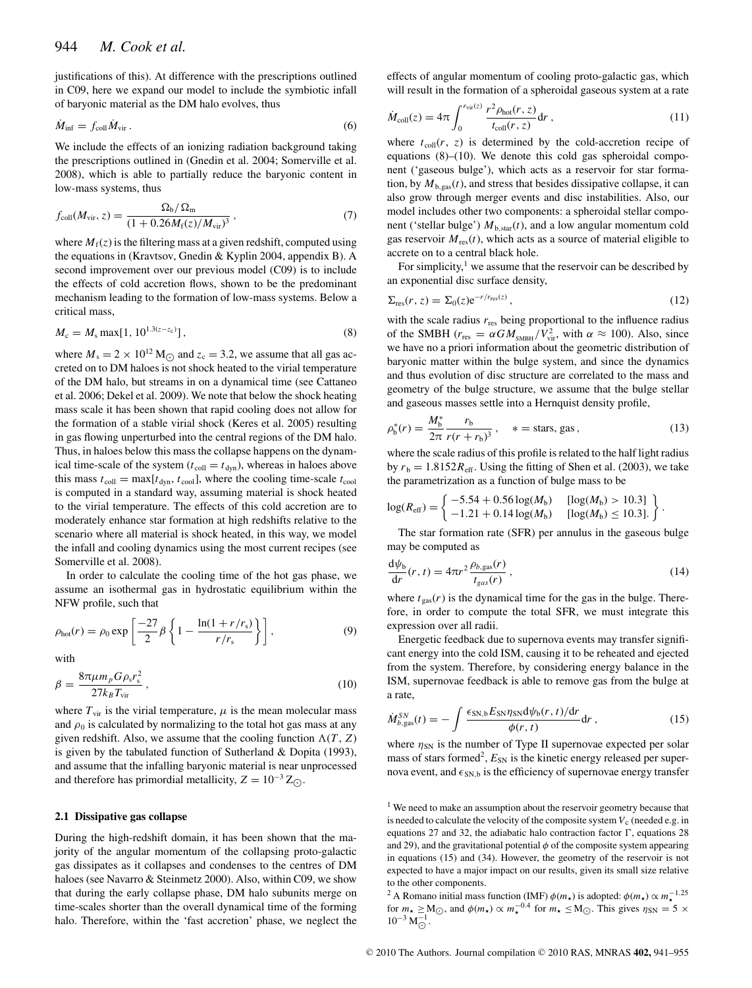justifications of this). At difference with the prescriptions outlined in C09, here we expand our model to include the symbiotic infall of baryonic material as the DM halo evolves, thus

$$
\dot{M}_{\rm inf} = f_{\rm coll} \dot{M}_{\rm vir} \,. \tag{6}
$$

We include the effects of an ionizing radiation background taking the prescriptions outlined in (Gnedin et al. 2004; Somerville et al. 2008), which is able to partially reduce the baryonic content in low-mass systems, thus

$$
f_{\text{coll}}(M_{\text{vir}}, z) = \frac{\Omega_{\text{b}}/\Omega_{\text{m}}}{(1 + 0.26M_{\text{f}}(z)/M_{\text{vir}})^3},\tag{7}
$$

where  $M_f(z)$  is the filtering mass at a given redshift, computed using the equations in (Kravtsov, Gnedin & Kyplin 2004, appendix B). A second improvement over our previous model (C09) is to include the effects of cold accretion flows, shown to be the predominant mechanism leading to the formation of low-mass systems. Below a critical mass,

$$
M_c = M_s \max[1, 10^{1.3(z-z_c)}], \tag{8}
$$

where  $M_s = 2 \times 10^{12}$  M<sub>O</sub> and  $z_c = 3.2$ , we assume that all gas accreted on to DM haloes is not shock heated to the virial temperature of the DM halo, but streams in on a dynamical time (see Cattaneo et al. 2006; Dekel et al. 2009). We note that below the shock heating mass scale it has been shown that rapid cooling does not allow for the formation of a stable virial shock (Keres et al. 2005) resulting in gas flowing unperturbed into the central regions of the DM halo. Thus, in haloes below this mass the collapse happens on the dynamical time-scale of the system ( $t_{\text{coll}} = t_{\text{dyn}}$ ), whereas in haloes above this mass  $t_{\text{coll}} = \max[t_{\text{dyn}}, t_{\text{cool}}]$ , where the cooling time-scale  $t_{\text{cool}}$ is computed in a standard way, assuming material is shock heated to the virial temperature. The effects of this cold accretion are to moderately enhance star formation at high redshifts relative to the scenario where all material is shock heated, in this way, we model the infall and cooling dynamics using the most current recipes (see Somerville et al. 2008).

In order to calculate the cooling time of the hot gas phase, we assume an isothermal gas in hydrostatic equilibrium within the NFW profile, such that

$$
\rho_{\text{hot}}(r) = \rho_0 \exp\left[\frac{-27}{2}\beta \left\{1 - \frac{\ln(1 + r/r_s)}{r/r_s}\right\}\right],\tag{9}
$$

with

$$
\beta = \frac{8\pi\mu m_p G \rho_s r_s^2}{27k_B T_{\rm vir}},\qquad(10)
$$

where  $T_{\text{vir}}$  is the virial temperature,  $\mu$  is the mean molecular mass and  $\rho_0$  is calculated by normalizing to the total hot gas mass at any given redshift. Also, we assume that the cooling function  $\Lambda(T, Z)$ is given by the tabulated function of Sutherland & Dopita (1993), and assume that the infalling baryonic material is near unprocessed and therefore has primordial metallicity,  $Z = 10^{-3} Z_{\odot}$ .

#### **2.1 Dissipative gas collapse**

During the high-redshift domain, it has been shown that the majority of the angular momentum of the collapsing proto-galactic gas dissipates as it collapses and condenses to the centres of DM haloes (see Navarro & Steinmetz 2000). Also, within C09, we show that during the early collapse phase, DM halo subunits merge on time-scales shorter than the overall dynamical time of the forming halo. Therefore, within the 'fast accretion' phase, we neglect the effects of angular momentum of cooling proto-galactic gas, which will result in the formation of a spheroidal gaseous system at a rate

$$
\dot{M}_{\text{coll}}(z) = 4\pi \int_0^{r_{\text{vir}}(z)} \frac{r^2 \rho_{\text{hot}}(r, z)}{t_{\text{coll}}(r, z)} dr , \qquad (11)
$$

where  $t_{\text{coll}}(r, z)$  is determined by the cold-accretion recipe of equations (8)–(10). We denote this cold gas spheroidal component ('gaseous bulge'), which acts as a reservoir for star formation, by  $M_{b, gas}(t)$ , and stress that besides dissipative collapse, it can also grow through merger events and disc instabilities. Also, our model includes other two components: a spheroidal stellar component ('stellar bulge')  $M_{b,star}(t)$ , and a low angular momentum cold gas reservoir  $M_{res}(t)$ , which acts as a source of material eligible to accrete on to a central black hole.

For simplicity, $\frac{1}{x}$  we assume that the reservoir can be described by an exponential disc surface density,

$$
\Sigma_{\rm res}(r,z) = \Sigma_0(z) e^{-r/r_{\rm res}(z)},\tag{12}
$$

with the scale radius  $r_{res}$  being proportional to the influence radius of the SMBH ( $r_{res} = \alpha G M_{\text{SMBH}} / V_{\text{vir}}^2$ , with  $\alpha \approx 100$ ). Also, since we have no a priori information about the geometric distribution of baryonic matter within the bulge system, and since the dynamics and thus evolution of disc structure are correlated to the mass and geometry of the bulge structure, we assume that the bulge stellar and gaseous masses settle into a Hernquist density profile,

$$
\rho_b^*(r) = \frac{M_b^*}{2\pi} \frac{r_b}{r(r+r_b)^3}, \quad * = \text{stars, gas}, \tag{13}
$$

where the scale radius of this profile is related to the half light radius by  $r<sub>b</sub> = 1.8152 R<sub>eff</sub>$ . Using the fitting of Shen et al. (2003), we take the parametrization as a function of bulge mass to be

$$
\log(R_{\text{eff}}) = \begin{cases} -5.54 + 0.56 \log(M_b) & [\log(M_b) > 10.3] \\ -1.21 + 0.14 \log(M_b) & [\log(M_b) \le 10.3]. \end{cases}
$$

The star formation rate (SFR) per annulus in the gaseous bulge may be computed as

$$
\frac{d\psi_b}{dr}(r,t) = 4\pi r^2 \frac{\rho_{b,\text{gas}}(r)}{t_{gas}(r)},
$$
\n(14)

where  $t_{\text{gas}}(r)$  is the dynamical time for the gas in the bulge. Therefore, in order to compute the total SFR, we must integrate this expression over all radii.

Energetic feedback due to supernova events may transfer significant energy into the cold ISM, causing it to be reheated and ejected from the system. Therefore, by considering energy balance in the ISM, supernovae feedback is able to remove gas from the bulge at a rate,

$$
\dot{M}_{b,\text{gas}}^{SN}(t) = -\int \frac{\epsilon_{\text{SN,b}} E_{\text{SN}} \eta_{\text{SN}} \mathrm{d} \psi_{\text{b}}(r,t) / \mathrm{d}r}{\phi(r,t)} \mathrm{d}r \,,\tag{15}
$$

where  $\eta_{SN}$  is the number of Type II supernovae expected per solar mass of stars formed<sup>2</sup>,  $E_{SN}$  is the kinetic energy released per supernova event, and  $\epsilon_{SN,b}$  is the efficiency of supernovae energy transfer

<sup>1</sup> We need to make an assumption about the reservoir geometry because that is needed to calculate the velocity of the composite system  $V_c$  (needed e.g. in equations 27 and 32, the adiabatic halo contraction factor  $\Gamma$ , equations 28 and 29), and the gravitational potential  $\phi$  of the composite system appearing in equations (15) and (34). However, the geometry of the reservoir is not expected to have a major impact on our results, given its small size relative to the other components.

<sup>2</sup> A Romano initial mass function (IMF)  $\phi(m_{\star})$  is adopted:  $\phi(m_{\star}) \propto m_{\star}^{-1.25}$ for  $m_{\star} \ge M_{\odot}$ , and  $\phi(m_{\star}) \propto m_{\star}^{-0.4}$  for  $m_{\star} \le M_{\odot}$ . This gives  $\eta_{SN} = 5 \times 10^{-3} M_{\odot}$  $10^{-3} M_{\bigodot}^{-1}$ .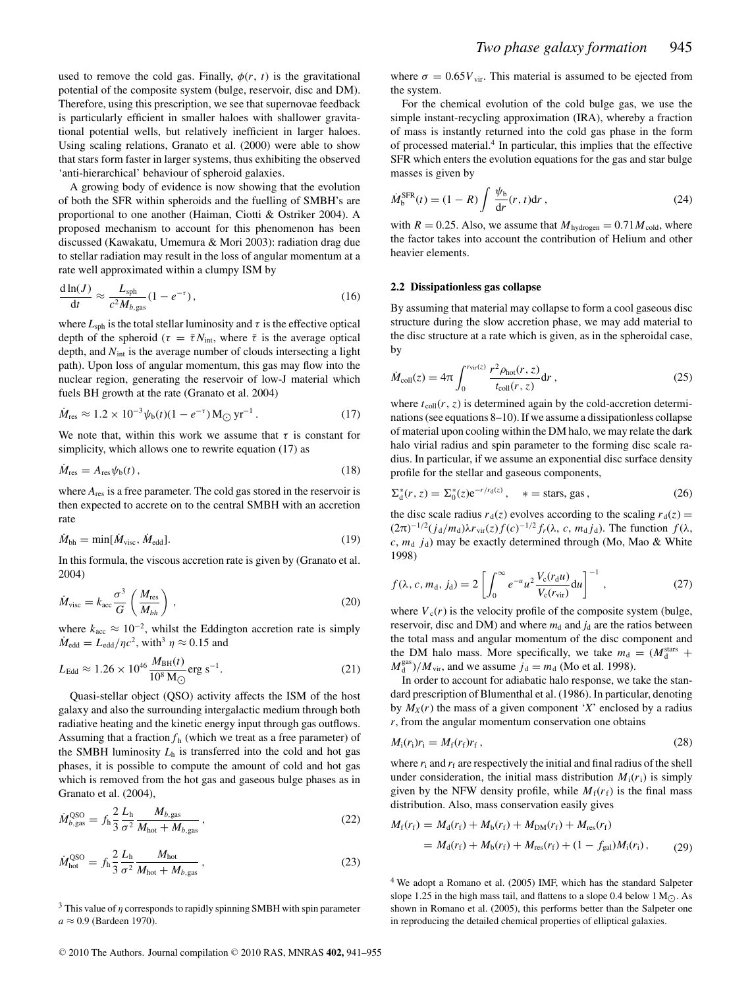used to remove the cold gas. Finally,  $\phi(r, t)$  is the gravitational potential of the composite system (bulge, reservoir, disc and DM). Therefore, using this prescription, we see that supernovae feedback is particularly efficient in smaller haloes with shallower gravitational potential wells, but relatively inefficient in larger haloes. Using scaling relations, Granato et al. (2000) were able to show that stars form faster in larger systems, thus exhibiting the observed 'anti-hierarchical' behaviour of spheroid galaxies.

A growing body of evidence is now showing that the evolution of both the SFR within spheroids and the fuelling of SMBH's are proportional to one another (Haiman, Ciotti & Ostriker 2004). A proposed mechanism to account for this phenomenon has been discussed (Kawakatu, Umemura & Mori 2003): radiation drag due to stellar radiation may result in the loss of angular momentum at a rate well approximated within a clumpy ISM by

$$
\frac{d \ln(J)}{dt} \approx \frac{L_{\rm sph}}{c^2 M_{b,\rm gas}} (1 - e^{-\tau}),
$$
\n(16)

where  $L_{\rm sph}$  is the total stellar luminosity and  $\tau$  is the effective optical depth of the spheroid ( $\tau = \bar{\tau} N_{\text{int}}$ , where  $\bar{\tau}$  is the average optical depth, and *N*int is the average number of clouds intersecting a light path). Upon loss of angular momentum, this gas may flow into the nuclear region, generating the reservoir of low-J material which fuels BH growth at the rate (Granato et al. 2004)

$$
\dot{M}_{\rm res} \approx 1.2 \times 10^{-3} \psi_{\rm b}(t) (1 - e^{-\tau}) \,\text{M}_{\odot} \,\text{yr}^{-1} \,. \tag{17}
$$

We note that, within this work we assume that  $\tau$  is constant for simplicity, which allows one to rewrite equation (17) as

$$
\dot{M}_{\rm res} = A_{\rm res} \psi_{\rm b}(t) \,, \tag{18}
$$

where *A*res is a free parameter. The cold gas stored in the reservoir is then expected to accrete on to the central SMBH with an accretion rate

$$
\dot{M}_{\text{bh}} = \min[\dot{M}_{\text{visc}}, \dot{M}_{\text{edd}}]. \tag{19}
$$

In this formula, the viscous accretion rate is given by (Granato et al. 2004)

$$
\dot{M}_{\rm visc} = k_{\rm acc} \frac{\sigma^3}{G} \left( \frac{M_{\rm res}}{M_{bh}} \right) , \qquad (20)
$$

where  $k_{\text{acc}} \approx 10^{-2}$ , whilst the Eddington accretion rate is simply  $\dot{M}_{\text{edd}} = L_{\text{edd}} / \eta c^2$ , with<sup>3</sup>  $\eta \approx 0.15$  and

$$
L_{\rm Edd} \approx 1.26 \times 10^{46} \frac{M_{\rm BH}(t)}{10^8 \,\rm M_{\odot}} \,\rm erg \,\,s^{-1}.
$$

Quasi-stellar object (QSO) activity affects the ISM of the host galaxy and also the surrounding intergalactic medium through both radiative heating and the kinetic energy input through gas outflows. Assuming that a fraction  $f<sub>h</sub>$  (which we treat as a free parameter) of the SMBH luminosity *L*<sup>h</sup> is transferred into the cold and hot gas phases, it is possible to compute the amount of cold and hot gas which is removed from the hot gas and gaseous bulge phases as in Granato et al. (2004),

$$
\dot{M}_{b,\text{gas}}^{\text{QSO}} = f_{\text{h}} \frac{2}{3} \frac{L_{\text{h}}}{\sigma^2} \frac{M_{b,\text{gas}}}{M_{\text{hot}} + M_{b,\text{gas}}},\tag{22}
$$

$$
\dot{M}_{hot}^{QSO} = f_h \frac{2}{3} \frac{L_h}{\sigma^2} \frac{M_{hot}}{M_{hot} + M_{b, gas}} ,
$$
\n(23)

<sup>3</sup> This value of  $\eta$  corresponds to rapidly spinning SMBH with spin parameter  $a \approx 0.9$  (Bardeen 1970).

where  $\sigma = 0.65V_{\text{vir}}$ . This material is assumed to be ejected from the system.

For the chemical evolution of the cold bulge gas, we use the simple instant-recycling approximation (IRA), whereby a fraction of mass is instantly returned into the cold gas phase in the form of processed material.<sup>4</sup> In particular, this implies that the effective SFR which enters the evolution equations for the gas and star bulge masses is given by

$$
\dot{M}_b^{\text{SFR}}(t) = (1 - R) \int \frac{\psi_b}{dr}(r, t) dr , \qquad (24)
$$

with  $R = 0.25$ . Also, we assume that  $M_{\text{hydrogen}} = 0.71 M_{\text{cold}}$ , where the factor takes into account the contribution of Helium and other heavier elements.

#### **2.2 Dissipationless gas collapse**

By assuming that material may collapse to form a cool gaseous disc structure during the slow accretion phase, we may add material to the disc structure at a rate which is given, as in the spheroidal case, by

$$
\dot{M}_{\text{coll}}(z) = 4\pi \int_0^{r_{\text{vir}}(z)} \frac{r^2 \rho_{\text{hot}}(r, z)}{t_{\text{coll}}(r, z)} dr , \qquad (25)
$$

where  $t_{\text{coll}}(r, z)$  is determined again by the cold-accretion determinations (see equations 8–10). If we assume a dissipationless collapse of material upon cooling within the DM halo, we may relate the dark halo virial radius and spin parameter to the forming disc scale radius. In particular, if we assume an exponential disc surface density profile for the stellar and gaseous components,

$$
\Sigma_{d}^{*}(r, z) = \Sigma_{0}^{*}(z)e^{-r/r_{d}(z)}, \quad * = \text{stars}, \text{gas}, \tag{26}
$$

the disc scale radius  $r_d(z)$  evolves according to the scaling  $r_d(z)$  =  $(2\pi)^{-1/2}(j_{d}/m_{d})\lambda r_{\text{vir}}(z)f(c)^{-1/2}f_{r}(\lambda, c, m_{d}j_{d})$ . The function  $f(\lambda, c)$  $c, m_d$   $j_d$ ) may be exactly determined through (Mo, Mao & White 1998)

$$
f(\lambda, c, m_{\rm d}, j_{\rm d}) = 2 \left[ \int_0^\infty e^{-u} u^2 \frac{V_{\rm c}(r_{\rm d}u)}{V_{\rm c}(r_{\rm vir})} \mathrm{d}u \right]^{-1}, \tag{27}
$$

where  $V_c(r)$  is the velocity profile of the composite system (bulge, reservoir, disc and DM) and where  $m_d$  and  $j_d$  are the ratios between the total mass and angular momentum of the disc component and the DM halo mass. More specifically, we take  $m_d = (M_d^{\text{stars}} +$  $M_d^{\text{gas}}$ )/ $M_{\text{vir}}$ , and we assume  $j_d = m_d$  (Mo et al. 1998).

In order to account for adiabatic halo response, we take the standard prescription of Blumenthal et al. (1986). In particular, denoting by  $M_X(r)$  the mass of a given component '*X*' enclosed by a radius *r*, from the angular momentum conservation one obtains

$$
M_{\rm i}(r_{\rm i})r_{\rm i}=M_{\rm f}(r_{\rm f})r_{\rm f}\,,\tag{28}
$$

where  $r_i$  and  $r_f$  are respectively the initial and final radius of the shell under consideration, the initial mass distribution  $M_i(r_i)$  is simply given by the NFW density profile, while  $M_f(r_f)$  is the final mass distribution. Also, mass conservation easily gives

$$
M_{\rm f}(r_{\rm f}) = M_{\rm d}(r_{\rm f}) + M_{\rm b}(r_{\rm f}) + M_{\rm DM}(r_{\rm f}) + M_{\rm res}(r_{\rm f})
$$
  
= 
$$
M_{\rm d}(r_{\rm f}) + M_{\rm b}(r_{\rm f}) + M_{\rm res}(r_{\rm f}) + (1 - f_{\rm gal})M_{\rm i}(r_{\rm i}),
$$
 (29)

<sup>4</sup> We adopt a Romano et al. (2005) IMF, which has the standard Salpeter slope 1.25 in the high mass tail, and flattens to a slope 0.4 below  $1 M_{\odot}$ . As shown in Romano et al. (2005), this performs better than the Salpeter one in reproducing the detailed chemical properties of elliptical galaxies.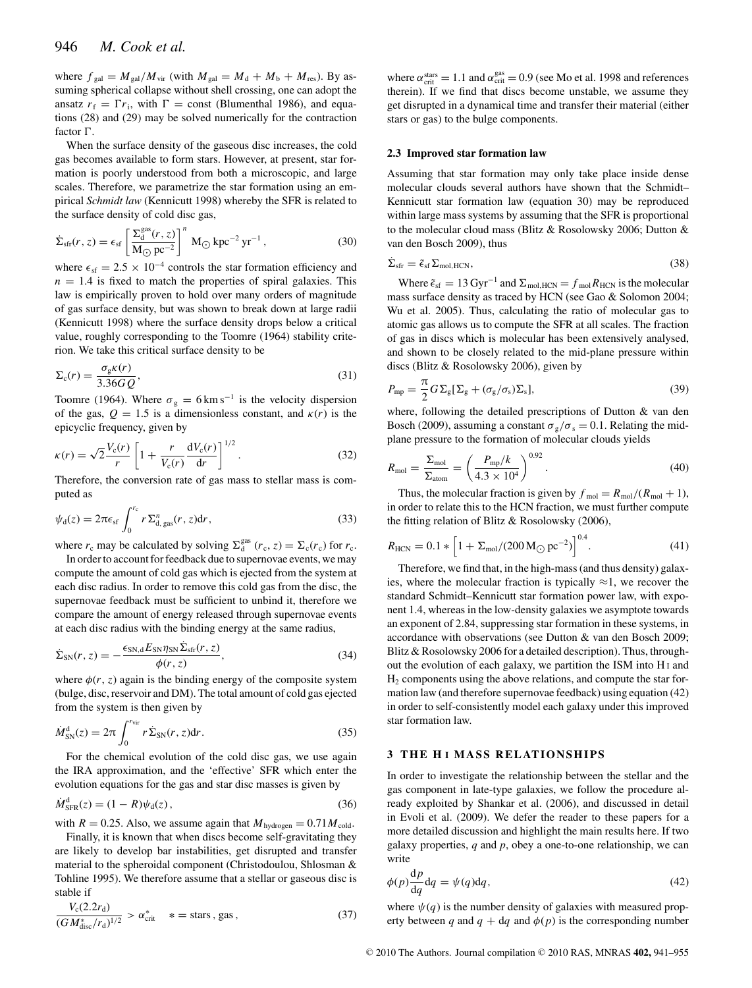where  $f_{gal} = M_{gal}/M_{vir}$  (with  $M_{gal} = M_d + M_b + M_{res}$ ). By assuming spherical collapse without shell crossing, one can adopt the ansatz  $r_f = \Gamma r_i$ , with  $\Gamma$  = const (Blumenthal 1986), and equations (28) and (29) may be solved numerically for the contraction factor  $\Gamma$ .

When the surface density of the gaseous disc increases, the cold gas becomes available to form stars. However, at present, star formation is poorly understood from both a microscopic, and large scales. Therefore, we parametrize the star formation using an empirical *Schmidt law* (Kennicutt 1998) whereby the SFR is related to the surface density of cold disc gas,

$$
\dot{\Sigma}_{\rm sfr}(r,z) = \epsilon_{\rm s} \left[ \frac{\Sigma_{\rm d}^{\rm gas}(r,z)}{M_{\odot} \,\mathrm{pc}^{-2}} \right]^n \,\mathrm{M}_{\odot} \,\mathrm{kpc}^{-2} \,\mathrm{yr}^{-1} \,, \tag{30}
$$

where  $\epsilon_{\rm sf} = 2.5 \times 10^{-4}$  controls the star formation efficiency and  $n = 1.4$  is fixed to match the properties of spiral galaxies. This law is empirically proven to hold over many orders of magnitude of gas surface density, but was shown to break down at large radii (Kennicutt 1998) where the surface density drops below a critical value, roughly corresponding to the Toomre (1964) stability criterion. We take this critical surface density to be

$$
\Sigma_{c}(r) = \frac{\sigma_{g} \kappa(r)}{3.36 G Q},\tag{31}
$$

Toomre (1964). Where  $\sigma_g = 6 \text{ km s}^{-1}$  is the velocity dispersion of the gas,  $Q = 1.5$  is a dimensionless constant, and  $\kappa(r)$  is the epicyclic frequency, given by

$$
\kappa(r) = \sqrt{2} \frac{V_c(r)}{r} \left[ 1 + \frac{r}{V_c(r)} \frac{dV_c(r)}{dr} \right]^{1/2}.
$$
 (32)

Therefore, the conversion rate of gas mass to stellar mass is computed as

$$
\psi_{\rm d}(z) = 2\pi\epsilon_{\rm sf} \int_0^{r_{\rm c}} r \Sigma_{\rm d,\,gas}^n(r,z) \mathrm{d}r,\tag{33}
$$

where  $r_c$  may be calculated by solving  $\Sigma_d^{\text{gas}}(r_c, z) = \Sigma_c(r_c)$  for  $r_c$ .

In order to account for feedback due to supernovae events, we may compute the amount of cold gas which is ejected from the system at each disc radius. In order to remove this cold gas from the disc, the supernovae feedback must be sufficient to unbind it, therefore we compare the amount of energy released through supernovae events at each disc radius with the binding energy at the same radius,

$$
\dot{\Sigma}_{\rm SN}(r,z) = -\frac{\epsilon_{\rm SN,d} E_{\rm SN}\eta_{\rm SN}\dot{\Sigma}_{\rm sfr}(r,z)}{\phi(r,z)},\tag{34}
$$

where  $\phi(r, z)$  again is the binding energy of the composite system (bulge, disc, reservoir and DM). The total amount of cold gas ejected from the system is then given by

$$
\dot{M}_{\rm SN}^{\rm d}(z) = 2\pi \int_0^{r_{\rm vir}} r \dot{\Sigma}_{\rm SN}(r, z) dr.
$$
 (35)

For the chemical evolution of the cold disc gas, we use again the IRA approximation, and the 'effective' SFR which enter the evolution equations for the gas and star disc masses is given by

$$
\dot{M}_{\rm SFR}^{\rm d}(z) = (1 - R)\psi_{\rm d}(z),\tag{36}
$$

with  $R = 0.25$ . Also, we assume again that  $M_{\text{hydrogen}} = 0.71 M_{\text{cold}}$ . Finally, it is known that when discs become self-gravitating they

are likely to develop bar instabilities, get disrupted and transfer material to the spheroidal component (Christodoulou, Shlosman & Tohline 1995). We therefore assume that a stellar or gaseous disc is stable if

$$
\frac{V_c(2.2r_d)}{(GM_{\text{disc}}^*/r_d)^{1/2}} > \alpha_{\text{crit}}^* \quad * = \text{stars}, \text{ gas},
$$
\n(37)

where  $\alpha_{\text{crit}}^{\text{stars}} = 1.1$  and  $\alpha_{\text{crit}}^{\text{gas}} = 0.9$  (see Mo et al. 1998 and references therein). If we find that discs become unstable, we assume they get disrupted in a dynamical time and transfer their material (either stars or gas) to the bulge components.

#### **2.3 Improved star formation law**

Assuming that star formation may only take place inside dense molecular clouds several authors have shown that the Schmidt– Kennicutt star formation law (equation 30) may be reproduced within large mass systems by assuming that the SFR is proportional to the molecular cloud mass (Blitz & Rosolowsky 2006; Dutton & van den Bosch 2009), thus

$$
\dot{\Sigma}_{\rm sfr} = \tilde{\epsilon}_{\rm sf} \Sigma_{\rm mol,HCN},\tag{38}
$$

Where  $\tilde{\epsilon}_{\text{sf}} = 13 \text{ Gyr}^{-1}$  and  $\Sigma_{\text{mol,HCN}} = f_{\text{mol}} R_{\text{HCN}}$  is the molecular mass surface density as traced by HCN (see Gao & Solomon 2004; Wu et al. 2005). Thus, calculating the ratio of molecular gas to atomic gas allows us to compute the SFR at all scales. The fraction of gas in discs which is molecular has been extensively analysed, and shown to be closely related to the mid-plane pressure within discs (Blitz & Rosolowsky 2006), given by

$$
P_{\rm mp} = \frac{\pi}{2} G \Sigma_{\rm g} [\Sigma_{\rm g} + (\sigma_{\rm g}/\sigma_{\rm s}) \Sigma_{\rm s}], \tag{39}
$$

where, following the detailed prescriptions of Dutton & van den Bosch (2009), assuming a constant  $\sigma_g/\sigma_s = 0.1$ . Relating the midplane pressure to the formation of molecular clouds yields

$$
R_{\rm mol} = \frac{\Sigma_{\rm mol}}{\Sigma_{\rm atom}} = \left(\frac{P_{\rm mp}/k}{4.3 \times 10^4}\right)^{0.92}.
$$
 (40)

Thus, the molecular fraction is given by  $f_{\text{mol}} = R_{\text{mol}}/(R_{\text{mol}} + 1)$ , in order to relate this to the HCN fraction, we must further compute the fitting relation of Blitz & Rosolowsky (2006),

$$
R_{\rm HCN} = 0.1 * \left[1 + \Sigma_{\rm mol}/(200 \,\rm M_{\odot} \, pc^{-2})\right]^{0.4}.
$$
 (41)

Therefore, we find that, in the high-mass (and thus density) galaxies, where the molecular fraction is typically  $\approx$ 1, we recover the standard Schmidt–Kennicutt star formation power law, with exponent 1.4, whereas in the low-density galaxies we asymptote towards an exponent of 2.84, suppressing star formation in these systems, in accordance with observations (see Dutton & van den Bosch 2009; Blitz & Rosolowsky 2006 for a detailed description). Thus, throughout the evolution of each galaxy, we partition the ISM into H<sub>I</sub> and  $H<sub>2</sub>$  components using the above relations, and compute the star formation law (and therefore supernovae feedback) using equation (42) in order to self-consistently model each galaxy under this improved star formation law.

## **3 THE H I MASS RELATIONSHIPS**

In order to investigate the relationship between the stellar and the gas component in late-type galaxies, we follow the procedure already exploited by Shankar et al. (2006), and discussed in detail in Evoli et al. (2009). We defer the reader to these papers for a more detailed discussion and highlight the main results here. If two galaxy properties, *q* and *p*, obey a one-to-one relationship, we can write

$$
\phi(p)\frac{\mathrm{d}p}{\mathrm{d}q}\mathrm{d}q = \psi(q)\mathrm{d}q,\tag{42}
$$

where  $\psi(q)$  is the number density of galaxies with measured property between *q* and  $q + dq$  and  $\phi(p)$  is the corresponding number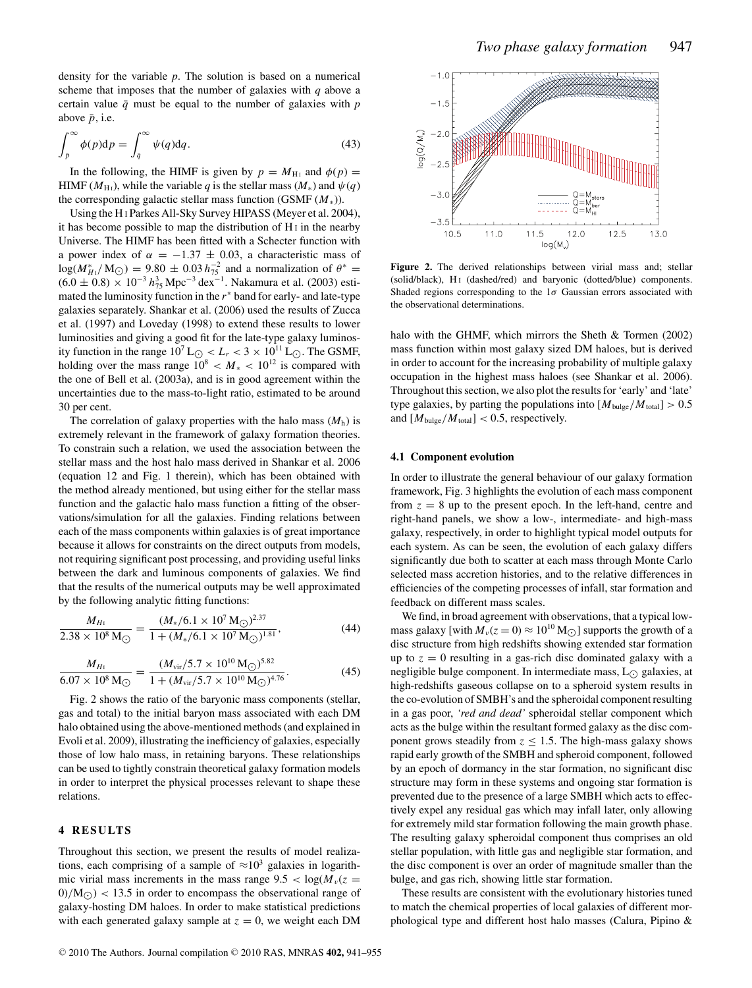density for the variable *p*. The solution is based on a numerical scheme that imposes that the number of galaxies with *q* above a certain value  $\bar{q}$  must be equal to the number of galaxies with  $p$ above  $\bar{p}$ , i.e.

$$
\int_{\bar{p}}^{\infty} \phi(p) \mathrm{d}p = \int_{\bar{q}}^{\infty} \psi(q) \mathrm{d}q. \tag{43}
$$

In the following, the HIMF is given by  $p = M_{\text{H}_{\text{I}}}$  and  $\phi(p) =$ HIMF ( $M_{\text{H1}}$ ), while the variable *q* is the stellar mass ( $M_*$ ) and  $\psi(q)$ the corresponding galactic stellar mass function (GSMF (*M*∗)).

Using the H <sup>I</sup> Parkes All-Sky Survey HIPASS (Meyer et al. 2004), it has become possible to map the distribution of  $H_1$  in the nearby Universe. The HIMF has been fitted with a Schecter function with a power index of  $\alpha = -1.37 \pm 0.03$ , a characteristic mass of  $\log(M_{H_1}^*/\text{M}_\odot) = 9.80 \pm 0.03 h_{75}^{-2}$  and a normalization of  $\theta^* =$ <br> $(6.0 \pm 0.8) \times 10^{-3} h_0^3$   $\text{Mg} = \frac{3}{2} h_0^2$  and a normalization of  $\theta^* =$ (6.0 ± 0.8) × 10−<sup>3</sup> *h*<sup>3</sup> <sup>75</sup> Mpc−<sup>3</sup> dex−1. Nakamura et al. (2003) estimated the luminosity function in the *r*<sup>∗</sup> band for early- and late-type galaxies separately. Shankar et al. (2006) used the results of Zucca et al. (1997) and Loveday (1998) to extend these results to lower luminosities and giving a good fit for the late-type galaxy luminosity function in the range  $10^7$  L<sub>O</sub>  $< L_r < 3 \times 10^{11}$  L<sub>O</sub>. The GSMF, holding over the mass range  $10^8 < M_* < 10^{12}$  is compared with the one of Bell et al. (2003a), and is in good agreement within the uncertainties due to the mass-to-light ratio, estimated to be around 30 per cent.

The correlation of galaxy properties with the halo mass  $(M<sub>h</sub>)$  is extremely relevant in the framework of galaxy formation theories. To constrain such a relation, we used the association between the stellar mass and the host halo mass derived in Shankar et al. 2006 (equation 12 and Fig. 1 therein), which has been obtained with the method already mentioned, but using either for the stellar mass function and the galactic halo mass function a fitting of the observations/simulation for all the galaxies. Finding relations between each of the mass components within galaxies is of great importance because it allows for constraints on the direct outputs from models, not requiring significant post processing, and providing useful links between the dark and luminous components of galaxies. We find that the results of the numerical outputs may be well approximated by the following analytic fitting functions:

$$
\frac{M_{H_1}}{2.38 \times 10^8 \,\mathrm{M_{\odot}}} = \frac{(M_*/6.1 \times 10^7 \,\mathrm{M_{\odot}})^{2.37}}{1 + (M_*/6.1 \times 10^7 \,\mathrm{M_{\odot}})^{1.81}},\tag{44}
$$

$$
\frac{M_{H_1}}{6.07 \times 10^8 \,\mathrm{M_{\odot}}} = \frac{(M_{\rm vir}/5.7 \times 10^{10} \,\mathrm{M_{\odot}})^{5.82}}{1 + (M_{\rm vir}/5.7 \times 10^{10} \,\mathrm{M_{\odot}})^{4.76}}.\tag{45}
$$

Fig. 2 shows the ratio of the baryonic mass components (stellar, gas and total) to the initial baryon mass associated with each DM halo obtained using the above-mentioned methods (and explained in Evoli et al. 2009), illustrating the inefficiency of galaxies, especially those of low halo mass, in retaining baryons. These relationships can be used to tightly constrain theoretical galaxy formation models in order to interpret the physical processes relevant to shape these relations.

## **4 RESULTS**

Throughout this section, we present the results of model realizations, each comprising of a sample of  $\approx 10^3$  galaxies in logarithmic virial mass increments in the mass range  $9.5 < log(M<sub>v</sub>(z =$  $0/M_{\odot}$ ) < 13.5 in order to encompass the observational range of galaxy-hosting DM haloes. In order to make statistical predictions with each generated galaxy sample at  $z = 0$ , we weight each DM



**Figure 2.** The derived relationships between virial mass and; stellar (solid/black), H<sub>I</sub> (dashed/red) and baryonic (dotted/blue) components. Shaded regions corresponding to the  $1\sigma$  Gaussian errors associated with the observational determinations.

halo with the GHMF, which mirrors the Sheth & Tormen (2002) mass function within most galaxy sized DM haloes, but is derived in order to account for the increasing probability of multiple galaxy occupation in the highest mass haloes (see Shankar et al. 2006). Throughout this section, we also plot the results for 'early' and 'late' type galaxies, by parting the populations into  $[M_{bulge}/M_{total}] > 0.5$ and  $[M_{bulge}/M_{total}]$  < 0.5, respectively.

#### **4.1 Component evolution**

In order to illustrate the general behaviour of our galaxy formation framework, Fig. 3 highlights the evolution of each mass component from  $z = 8$  up to the present epoch. In the left-hand, centre and right-hand panels, we show a low-, intermediate- and high-mass galaxy, respectively, in order to highlight typical model outputs for each system. As can be seen, the evolution of each galaxy differs significantly due both to scatter at each mass through Monte Carlo selected mass accretion histories, and to the relative differences in efficiencies of the competing processes of infall, star formation and feedback on different mass scales.

We find, in broad agreement with observations, that a typical lowmass galaxy [with  $M_v(z=0) \approx 10^{10} M_{\odot}$ ] supports the growth of a disc structure from high redshifts showing extended star formation up to  $z = 0$  resulting in a gas-rich disc dominated galaxy with a negligible bulge component. In intermediate mass,  $L_{\odot}$  galaxies, at high-redshifts gaseous collapse on to a spheroid system results in the co-evolution of SMBH's and the spheroidal component resulting in a gas poor, *'red and dead'* spheroidal stellar component which acts as the bulge within the resultant formed galaxy as the disc component grows steadily from  $z \leq 1.5$ . The high-mass galaxy shows rapid early growth of the SMBH and spheroid component, followed by an epoch of dormancy in the star formation, no significant disc structure may form in these systems and ongoing star formation is prevented due to the presence of a large SMBH which acts to effectively expel any residual gas which may infall later, only allowing for extremely mild star formation following the main growth phase. The resulting galaxy spheroidal component thus comprises an old stellar population, with little gas and negligible star formation, and the disc component is over an order of magnitude smaller than the bulge, and gas rich, showing little star formation.

These results are consistent with the evolutionary histories tuned to match the chemical properties of local galaxies of different morphological type and different host halo masses (Calura, Pipino &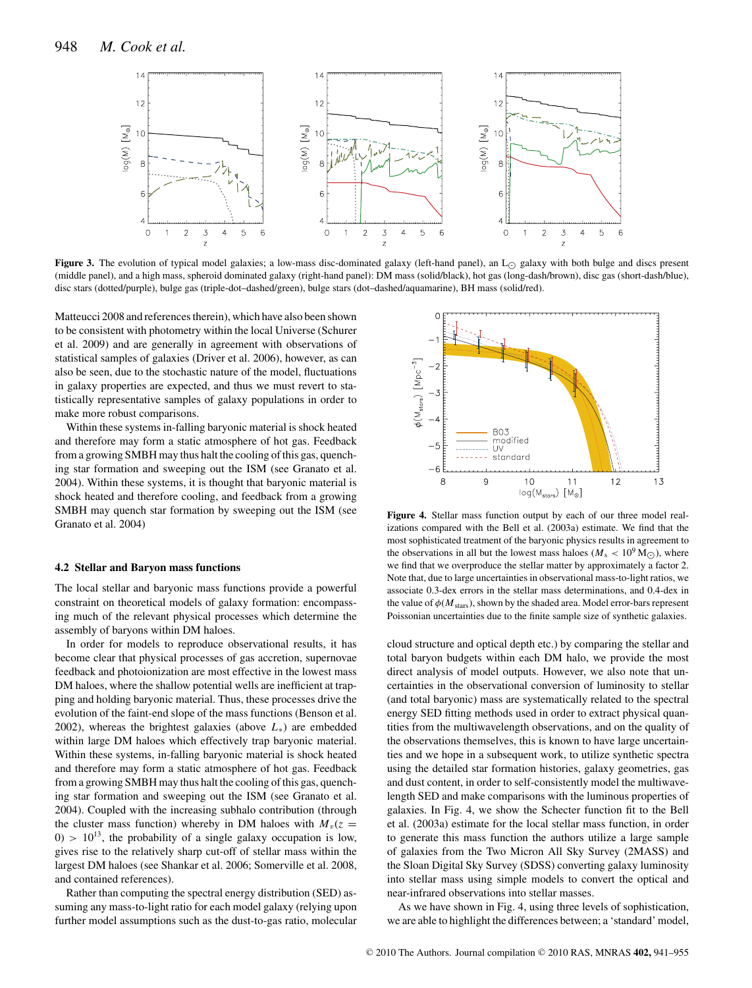

**Figure 3.** The evolution of typical model galaxies; a low-mass disc-dominated galaxy (left-hand panel), an  $L_0$  galaxy with both bulge and discs present (middle panel), and a high mass, spheroid dominated galaxy (right-hand panel): DM mass (solid/black), hot gas (long-dash/brown), disc gas (short-dash/blue), disc stars (dotted/purple), bulge gas (triple-dot–dashed/green), bulge stars (dot–dashed/aquamarine), BH mass (solid/red).

Matteucci 2008 and references therein), which have also been shown to be consistent with photometry within the local Universe (Schurer et al. 2009) and are generally in agreement with observations of statistical samples of galaxies (Driver et al. 2006), however, as can also be seen, due to the stochastic nature of the model, fluctuations in galaxy properties are expected, and thus we must revert to statistically representative samples of galaxy populations in order to make more robust comparisons.

Within these systems in-falling baryonic material is shock heated and therefore may form a static atmosphere of hot gas. Feedback from a growing SMBH may thus halt the cooling of this gas, quenching star formation and sweeping out the ISM (see Granato et al. 2004). Within these systems, it is thought that baryonic material is shock heated and therefore cooling, and feedback from a growing SMBH may quench star formation by sweeping out the ISM (see Granato et al. 2004)

#### **4.2 Stellar and Baryon mass functions**

The local stellar and baryonic mass functions provide a powerful constraint on theoretical models of galaxy formation: encompassing much of the relevant physical processes which determine the assembly of baryons within DM haloes.

In order for models to reproduce observational results, it has become clear that physical processes of gas accretion, supernovae feedback and photoionization are most effective in the lowest mass DM haloes, where the shallow potential wells are inefficient at trapping and holding baryonic material. Thus, these processes drive the evolution of the faint-end slope of the mass functions (Benson et al. 2002), whereas the brightest galaxies (above *L*∗) are embedded within large DM haloes which effectively trap baryonic material. Within these systems, in-falling baryonic material is shock heated and therefore may form a static atmosphere of hot gas. Feedback from a growing SMBH may thus halt the cooling of this gas, quenching star formation and sweeping out the ISM (see Granato et al. 2004). Coupled with the increasing subhalo contribution (through the cluster mass function) whereby in DM haloes with  $M_v(z)$  $0$ ) >  $10^{13}$ , the probability of a single galaxy occupation is low, gives rise to the relatively sharp cut-off of stellar mass within the largest DM haloes (see Shankar et al. 2006; Somerville et al. 2008, and contained references).

Rather than computing the spectral energy distribution (SED) assuming any mass-to-light ratio for each model galaxy (relying upon further model assumptions such as the dust-to-gas ratio, molecular



**Figure 4.** Stellar mass function output by each of our three model realizations compared with the Bell et al. (2003a) estimate. We find that the most sophisticated treatment of the baryonic physics results in agreement to the observations in all but the lowest mass haloes ( $M_s < 10^9$  M<sub> $\odot$ </sub>), where we find that we overproduce the stellar matter by approximately a factor 2. Note that, due to large uncertainties in observational mass-to-light ratios, we associate 0.3-dex errors in the stellar mass determinations, and 0.4-dex in the value of  $\phi(M_{\text{stars}})$ , shown by the shaded area. Model error-bars represent Poissonian uncertainties due to the finite sample size of synthetic galaxies.

cloud structure and optical depth etc.) by comparing the stellar and total baryon budgets within each DM halo, we provide the most direct analysis of model outputs. However, we also note that uncertainties in the observational conversion of luminosity to stellar (and total baryonic) mass are systematically related to the spectral energy SED fitting methods used in order to extract physical quantities from the multiwavelength observations, and on the quality of the observations themselves, this is known to have large uncertainties and we hope in a subsequent work, to utilize synthetic spectra using the detailed star formation histories, galaxy geometries, gas and dust content, in order to self-consistently model the multiwavelength SED and make comparisons with the luminous properties of galaxies. In Fig. 4, we show the Schecter function fit to the Bell et al. (2003a) estimate for the local stellar mass function, in order to generate this mass function the authors utilize a large sample of galaxies from the Two Micron All Sky Survey (2MASS) and the Sloan Digital Sky Survey (SDSS) converting galaxy luminosity into stellar mass using simple models to convert the optical and near-infrared observations into stellar masses.

As we have shown in Fig. 4, using three levels of sophistication, we are able to highlight the differences between; a 'standard' model,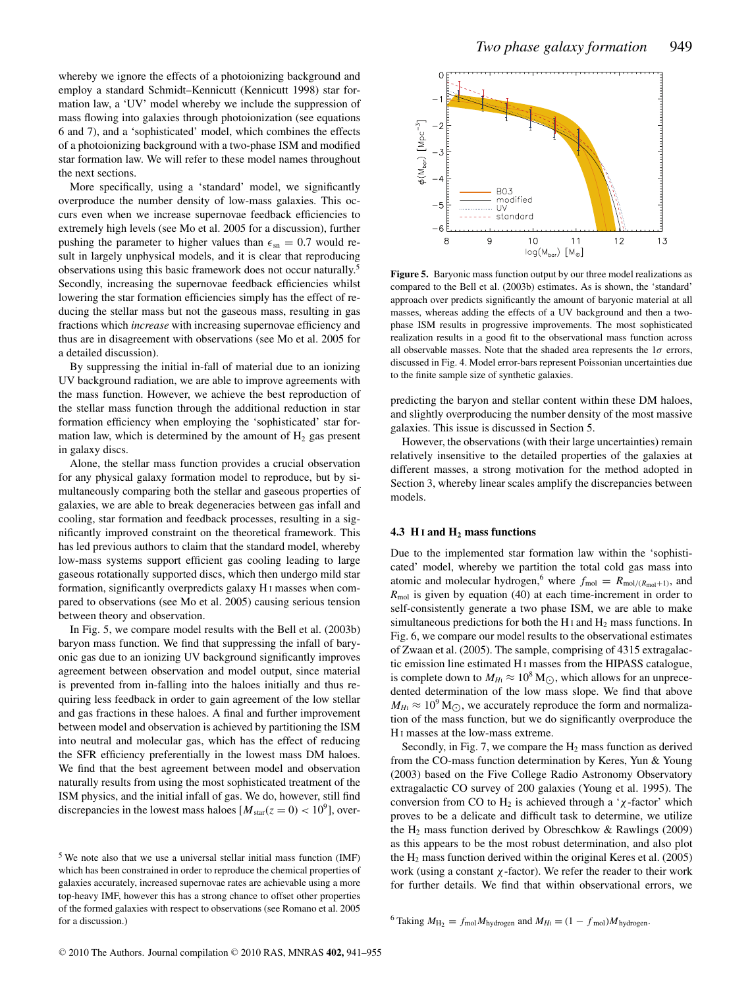whereby we ignore the effects of a photoionizing background and employ a standard Schmidt–Kennicutt (Kennicutt 1998) star formation law, a 'UV' model whereby we include the suppression of mass flowing into galaxies through photoionization (see equations 6 and 7), and a 'sophisticated' model, which combines the effects of a photoionizing background with a two-phase ISM and modified star formation law. We will refer to these model names throughout the next sections.

More specifically, using a 'standard' model, we significantly overproduce the number density of low-mass galaxies. This occurs even when we increase supernovae feedback efficiencies to extremely high levels (see Mo et al. 2005 for a discussion), further pushing the parameter to higher values than  $\epsilon_{\rm sn} = 0.7$  would result in largely unphysical models, and it is clear that reproducing observations using this basic framework does not occur naturally.5 Secondly, increasing the supernovae feedback efficiencies whilst lowering the star formation efficiencies simply has the effect of reducing the stellar mass but not the gaseous mass, resulting in gas fractions which *increase* with increasing supernovae efficiency and thus are in disagreement with observations (see Mo et al. 2005 for a detailed discussion).

By suppressing the initial in-fall of material due to an ionizing UV background radiation, we are able to improve agreements with the mass function. However, we achieve the best reproduction of the stellar mass function through the additional reduction in star formation efficiency when employing the 'sophisticated' star formation law, which is determined by the amount of  $H_2$  gas present in galaxy discs.

Alone, the stellar mass function provides a crucial observation for any physical galaxy formation model to reproduce, but by simultaneously comparing both the stellar and gaseous properties of galaxies, we are able to break degeneracies between gas infall and cooling, star formation and feedback processes, resulting in a significantly improved constraint on the theoretical framework. This has led previous authors to claim that the standard model, whereby low-mass systems support efficient gas cooling leading to large gaseous rotationally supported discs, which then undergo mild star formation, significantly overpredicts galaxy H <sup>I</sup> masses when compared to observations (see Mo et al. 2005) causing serious tension between theory and observation.

In Fig. 5, we compare model results with the Bell et al. (2003b) baryon mass function. We find that suppressing the infall of baryonic gas due to an ionizing UV background significantly improves agreement between observation and model output, since material is prevented from in-falling into the haloes initially and thus requiring less feedback in order to gain agreement of the low stellar and gas fractions in these haloes. A final and further improvement between model and observation is achieved by partitioning the ISM into neutral and molecular gas, which has the effect of reducing the SFR efficiency preferentially in the lowest mass DM haloes. We find that the best agreement between model and observation naturally results from using the most sophisticated treatment of the ISM physics, and the initial infall of gas. We do, however, still find discrepancies in the lowest mass haloes  $[M_{star}(z=0) < 10^9]$ , over-



**Figure 5.** Baryonic mass function output by our three model realizations as compared to the Bell et al. (2003b) estimates. As is shown, the 'standard' approach over predicts significantly the amount of baryonic material at all masses, whereas adding the effects of a UV background and then a twophase ISM results in progressive improvements. The most sophisticated realization results in a good fit to the observational mass function across all observable masses. Note that the shaded area represents the  $1\sigma$  errors, discussed in Fig. 4. Model error-bars represent Poissonian uncertainties due to the finite sample size of synthetic galaxies.

predicting the baryon and stellar content within these DM haloes, and slightly overproducing the number density of the most massive galaxies. This issue is discussed in Section 5.

However, the observations (with their large uncertainties) remain relatively insensitive to the detailed properties of the galaxies at different masses, a strong motivation for the method adopted in Section 3, whereby linear scales amplify the discrepancies between models.

#### **4.3 H I and H2 mass functions**

Due to the implemented star formation law within the 'sophisticated' model, whereby we partition the total cold gas mass into atomic and molecular hydrogen,<sup>6</sup> where  $f_{\text{mol}} = R_{\text{mol}/(R_{\text{mol}}+1)}$ , and *R*mol is given by equation (40) at each time-increment in order to self-consistently generate a two phase ISM, we are able to make simultaneous predictions for both the H<sub>I</sub> and H<sub>2</sub> mass functions. In Fig. 6, we compare our model results to the observational estimates of Zwaan et al. (2005). The sample, comprising of 4315 extragalactic emission line estimated H <sup>I</sup> masses from the HIPASS catalogue, is complete down to  $M_{H_1} \approx 10^8 \,\mathrm{M}_{\odot}$ , which allows for an unprecedented determination of the low mass slope. We find that above  $M_{H1} \approx 10^9 \,\mathrm{M}_{\odot}$ , we accurately reproduce the form and normalization of the mass function, but we do significantly overproduce the H <sup>I</sup> masses at the low-mass extreme.

Secondly, in Fig. 7, we compare the  $H_2$  mass function as derived from the CO-mass function determination by Keres, Yun & Young (2003) based on the Five College Radio Astronomy Observatory extragalactic CO survey of 200 galaxies (Young et al. 1995). The conversion from CO to  $H_2$  is achieved through a ' $\chi$ -factor' which proves to be a delicate and difficult task to determine, we utilize the  $H_2$  mass function derived by Obreschkow & Rawlings (2009) as this appears to be the most robust determination, and also plot the  $H_2$  mass function derived within the original Keres et al. (2005) work (using a constant *χ*-factor). We refer the reader to their work for further details. We find that within observational errors, we

<sup>6</sup> Taking  $M_{\text{H}_2} = f_{\text{mol}} M_{\text{hydrogen}}$  and  $M_{\text{H}_1} = (1 - f_{\text{mol}}) M_{\text{hydrogen}}$ .

<sup>5</sup> We note also that we use a universal stellar initial mass function (IMF) which has been constrained in order to reproduce the chemical properties of galaxies accurately, increased supernovae rates are achievable using a more top-heavy IMF, however this has a strong chance to offset other properties of the formed galaxies with respect to observations (see Romano et al. 2005 for a discussion.)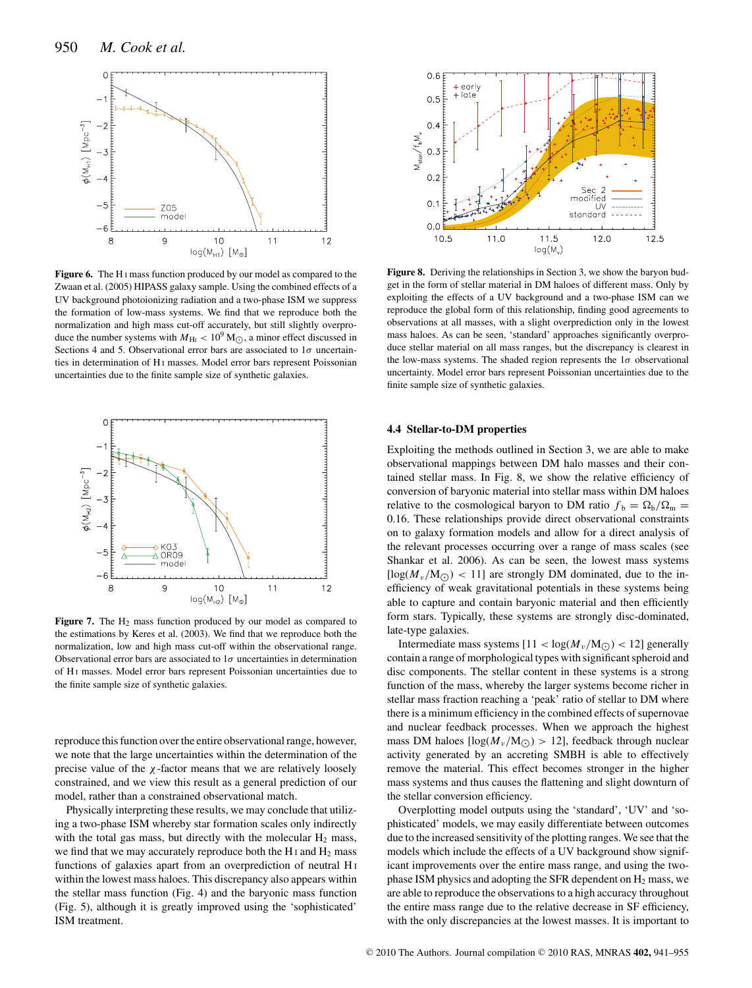

Figure 6. The H<sub>I</sub> mass function produced by our model as compared to the Zwaan et al. (2005) HIPASS galaxy sample. Using the combined effects of a UV background photoionizing radiation and a two-phase ISM we suppress the formation of low-mass systems. We find that we reproduce both the normalization and high mass cut-off accurately, but still slightly overproduce the number systems with  $M_{\text{Hi}} < 10^9 \text{ M}_{\odot}$ , a minor effect discussed in Sections 4 and 5. Observational error bars are associated to  $1\sigma$  uncertainties in determination of H<sub>1</sub> masses. Model error bars represent Poissonian uncertainties due to the finite sample size of synthetic galaxies.



Figure 7. The H<sub>2</sub> mass function produced by our model as compared to the estimations by Keres et al. (2003). We find that we reproduce both the normalization, low and high mass cut-off within the observational range. Observational error bars are associated to  $1\sigma$  uncertainties in determination of H<sub>I</sub> masses. Model error bars represent Poissonian uncertainties due to the finite sample size of synthetic galaxies.

reproduce this function over the entire observational range, however, we note that the large uncertainties within the determination of the precise value of the  $\chi$ -factor means that we are relatively loosely constrained, and we view this result as a general prediction of our model, rather than a constrained observational match.

Physically interpreting these results, we may conclude that utilizing a two-phase ISM whereby star formation scales only indirectly with the total gas mass, but directly with the molecular  $H_2$  mass, we find that we may accurately reproduce both the H<sub>1</sub> and  $H_2$  mass functions of galaxies apart from an overprediction of neutral H<sub>I</sub> within the lowest mass haloes. This discrepancy also appears within the stellar mass function (Fig. 4) and the baryonic mass function (Fig. 5), although it is greatly improved using the 'sophisticated' ISM treatment.



**Figure 8.** Deriving the relationships in Section 3, we show the baryon budget in the form of stellar material in DM haloes of different mass. Only by exploiting the effects of a UV background and a two-phase ISM can we reproduce the global form of this relationship, finding good agreements to observations at all masses, with a slight overprediction only in the lowest mass haloes. As can be seen, 'standard' approaches significantly overproduce stellar material on all mass ranges, but the discrepancy is clearest in the low-mass systems. The shaded region represents the 1*σ* observational uncertainty. Model error bars represent Poissonian uncertainties due to the finite sample size of synthetic galaxies.

#### **4.4 Stellar-to-DM properties**

Exploiting the methods outlined in Section 3, we are able to make observational mappings between DM halo masses and their contained stellar mass. In Fig. 8, we show the relative efficiency of conversion of baryonic material into stellar mass within DM haloes relative to the cosmological baryon to DM ratio  $f_b = \Omega_b/\Omega_m =$ 0.16. These relationships provide direct observational constraints on to galaxy formation models and allow for a direct analysis of the relevant processes occurring over a range of mass scales (see Shankar et al. 2006). As can be seen, the lowest mass systems  $[\log(M_v/M_{\odot})$  < 11] are strongly DM dominated, due to the inefficiency of weak gravitational potentials in these systems being able to capture and contain baryonic material and then efficiently form stars. Typically, these systems are strongly disc-dominated, late-type galaxies.

Intermediate mass systems  $[11 < log(M_v/M_{\odot}) < 12]$  generally contain a range of morphological types with significant spheroid and disc components. The stellar content in these systems is a strong function of the mass, whereby the larger systems become richer in stellar mass fraction reaching a 'peak' ratio of stellar to DM where there is a minimum efficiency in the combined effects of supernovae and nuclear feedback processes. When we approach the highest mass DM haloes  $[\log(M_v/M_{\odot})) > 12]$ , feedback through nuclear activity generated by an accreting SMBH is able to effectively remove the material. This effect becomes stronger in the higher mass systems and thus causes the flattening and slight downturn of the stellar conversion efficiency.

Overplotting model outputs using the 'standard', 'UV' and 'sophisticated' models, we may easily differentiate between outcomes due to the increased sensitivity of the plotting ranges. We see that the models which include the effects of a UV background show significant improvements over the entire mass range, and using the twophase ISM physics and adopting the SFR dependent on  $H_2$  mass, we are able to reproduce the observations to a high accuracy throughout the entire mass range due to the relative decrease in SF efficiency, with the only discrepancies at the lowest masses. It is important to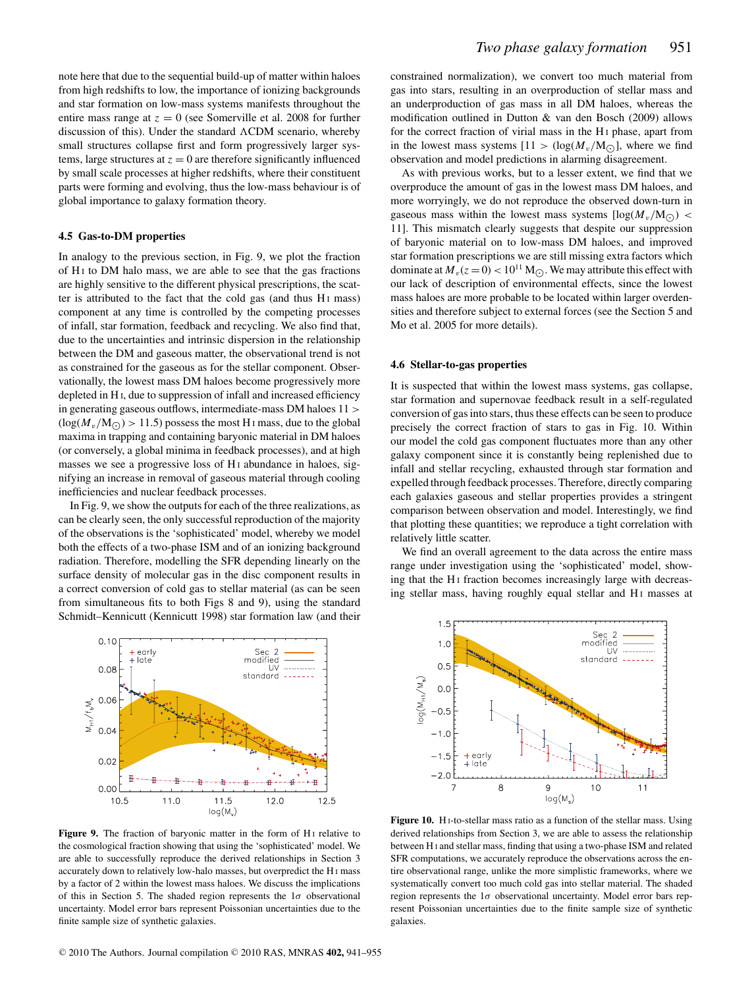note here that due to the sequential build-up of matter within haloes from high redshifts to low, the importance of ionizing backgrounds and star formation on low-mass systems manifests throughout the entire mass range at  $z = 0$  (see Somerville et al. 2008 for further discussion of this). Under the standard  $\Lambda$ CDM scenario, whereby small structures collapse first and form progressively larger systems, large structures at  $z = 0$  are therefore significantly influenced by small scale processes at higher redshifts, where their constituent parts were forming and evolving, thus the low-mass behaviour is of global importance to galaxy formation theory.

#### **4.5 Gas-to-DM properties**

In analogy to the previous section, in Fig. 9, we plot the fraction of H <sup>I</sup> to DM halo mass, we are able to see that the gas fractions are highly sensitive to the different physical prescriptions, the scatter is attributed to the fact that the cold gas (and thus  $H_1$  mass) component at any time is controlled by the competing processes of infall, star formation, feedback and recycling. We also find that, due to the uncertainties and intrinsic dispersion in the relationship between the DM and gaseous matter, the observational trend is not as constrained for the gaseous as for the stellar component. Observationally, the lowest mass DM haloes become progressively more depleted in H I, due to suppression of infall and increased efficiency in generating gaseous outflows, intermediate-mass DM haloes 11 *>*  $(\log(M_{\nu}/M_{\odot}) > 11.5)$  possess the most H<sub>I</sub> mass, due to the global maxima in trapping and containing baryonic material in DM haloes (or conversely, a global minima in feedback processes), and at high masses we see a progressive loss of H<sub>I</sub> abundance in haloes, signifying an increase in removal of gaseous material through cooling inefficiencies and nuclear feedback processes.

In Fig. 9, we show the outputs for each of the three realizations, as can be clearly seen, the only successful reproduction of the majority of the observations is the 'sophisticated' model, whereby we model both the effects of a two-phase ISM and of an ionizing background radiation. Therefore, modelling the SFR depending linearly on the surface density of molecular gas in the disc component results in a correct conversion of cold gas to stellar material (as can be seen from simultaneous fits to both Figs 8 and 9), using the standard Schmidt–Kennicutt (Kennicutt 1998) star formation law (and their



**Figure 9.** The fraction of baryonic matter in the form of H<sub>I</sub> relative to the cosmological fraction showing that using the 'sophisticated' model. We are able to successfully reproduce the derived relationships in Section 3 accurately down to relatively low-halo masses, but overpredict the H <sup>I</sup> mass by a factor of 2 within the lowest mass haloes. We discuss the implications of this in Section 5. The shaded region represents the  $1\sigma$  observational uncertainty. Model error bars represent Poissonian uncertainties due to the finite sample size of synthetic galaxies.

constrained normalization), we convert too much material from gas into stars, resulting in an overproduction of stellar mass and an underproduction of gas mass in all DM haloes, whereas the modification outlined in Dutton & van den Bosch (2009) allows for the correct fraction of virial mass in the H<sub>I</sub> phase, apart from in the lowest mass systems  $[11 > (\log(M_v/M_{\odot}))$ , where we find observation and model predictions in alarming disagreement.

As with previous works, but to a lesser extent, we find that we overproduce the amount of gas in the lowest mass DM haloes, and more worryingly, we do not reproduce the observed down-turn in gaseous mass within the lowest mass systems  $\left[ \log(M_v/M_{\odot}) \right]$ 11]. This mismatch clearly suggests that despite our suppression of baryonic material on to low-mass DM haloes, and improved star formation prescriptions we are still missing extra factors which dominate at  $M_v(z=0) < 10^{11} M_{\odot}$ . We may attribute this effect with our lack of description of environmental effects, since the lowest mass haloes are more probable to be located within larger overdensities and therefore subject to external forces (see the Section 5 and Mo et al. 2005 for more details).

#### **4.6 Stellar-to-gas properties**

It is suspected that within the lowest mass systems, gas collapse, star formation and supernovae feedback result in a self-regulated conversion of gas into stars, thus these effects can be seen to produce precisely the correct fraction of stars to gas in Fig. 10. Within our model the cold gas component fluctuates more than any other galaxy component since it is constantly being replenished due to infall and stellar recycling, exhausted through star formation and expelled through feedback processes. Therefore, directly comparing each galaxies gaseous and stellar properties provides a stringent comparison between observation and model. Interestingly, we find that plotting these quantities; we reproduce a tight correlation with relatively little scatter.

We find an overall agreement to the data across the entire mass range under investigation using the 'sophisticated' model, showing that the H<sub>I</sub> fraction becomes increasingly large with decreasing stellar mass, having roughly equal stellar and HI masses at



**Figure 10.** H I-to-stellar mass ratio as a function of the stellar mass. Using derived relationships from Section 3, we are able to assess the relationship between H <sup>I</sup> and stellar mass, finding that using a two-phase ISM and related SFR computations, we accurately reproduce the observations across the entire observational range, unlike the more simplistic frameworks, where we systematically convert too much cold gas into stellar material. The shaded region represents the 1*σ* observational uncertainty. Model error bars represent Poissonian uncertainties due to the finite sample size of synthetic galaxies.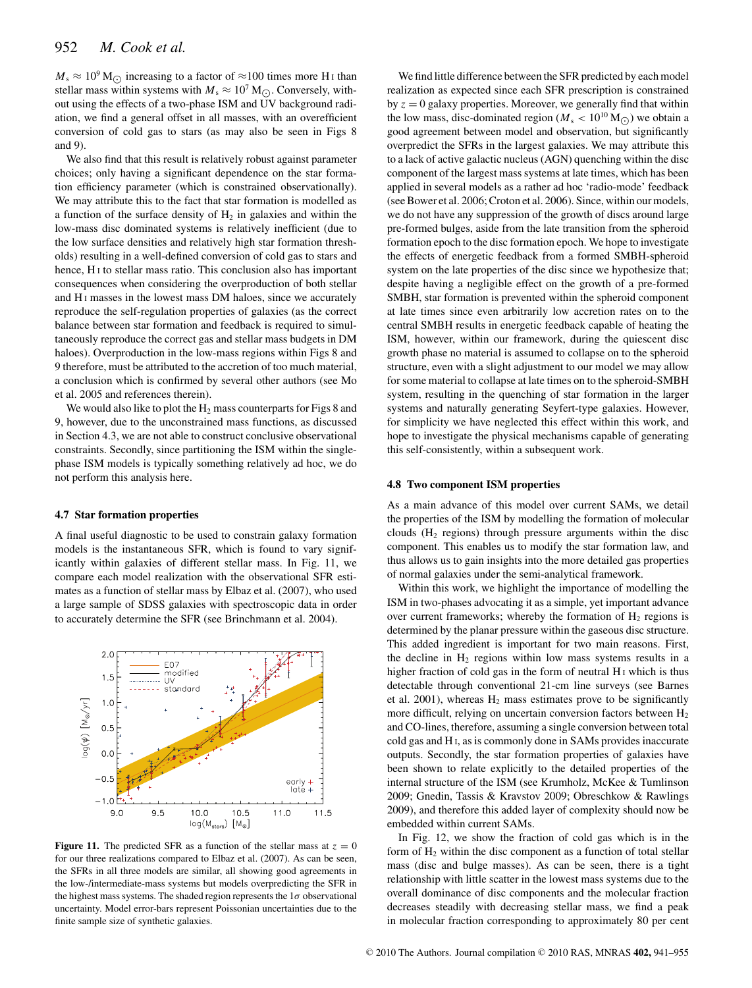$M_s \approx 10^9 \,\mathrm{M}_{\odot}$  increasing to a factor of  $\approx 100$  times more H<sub>1</sub> than stellar mass within systems with  $M_s \approx 10^7$  M<sub>( $\odot$ </sub>). Conversely, without using the effects of a two-phase ISM and UV background radiation, we find a general offset in all masses, with an overefficient conversion of cold gas to stars (as may also be seen in Figs 8 and 9).

We also find that this result is relatively robust against parameter choices; only having a significant dependence on the star formation efficiency parameter (which is constrained observationally). We may attribute this to the fact that star formation is modelled as a function of the surface density of  $H_2$  in galaxies and within the low-mass disc dominated systems is relatively inefficient (due to the low surface densities and relatively high star formation thresholds) resulting in a well-defined conversion of cold gas to stars and hence, H<sub>I</sub> to stellar mass ratio. This conclusion also has important consequences when considering the overproduction of both stellar and H<sub>I</sub> masses in the lowest mass DM haloes, since we accurately reproduce the self-regulation properties of galaxies (as the correct balance between star formation and feedback is required to simultaneously reproduce the correct gas and stellar mass budgets in DM haloes). Overproduction in the low-mass regions within Figs 8 and 9 therefore, must be attributed to the accretion of too much material, a conclusion which is confirmed by several other authors (see Mo et al. 2005 and references therein).

We would also like to plot the  $H_2$  mass counterparts for Figs 8 and 9, however, due to the unconstrained mass functions, as discussed in Section 4.3, we are not able to construct conclusive observational constraints. Secondly, since partitioning the ISM within the singlephase ISM models is typically something relatively ad hoc, we do not perform this analysis here.

#### **4.7 Star formation properties**

A final useful diagnostic to be used to constrain galaxy formation models is the instantaneous SFR, which is found to vary significantly within galaxies of different stellar mass. In Fig. 11, we compare each model realization with the observational SFR estimates as a function of stellar mass by Elbaz et al. (2007), who used a large sample of SDSS galaxies with spectroscopic data in order to accurately determine the SFR (see Brinchmann et al. 2004).



**Figure 11.** The predicted SFR as a function of the stellar mass at  $z = 0$ for our three realizations compared to Elbaz et al. (2007). As can be seen, the SFRs in all three models are similar, all showing good agreements in the low-/intermediate-mass systems but models overpredicting the SFR in the highest mass systems. The shaded region represents the  $1\sigma$  observational uncertainty. Model error-bars represent Poissonian uncertainties due to the finite sample size of synthetic galaxies.

We find little difference between the SFR predicted by each model realization as expected since each SFR prescription is constrained by  $z = 0$  galaxy properties. Moreover, we generally find that within the low mass, disc-dominated region ( $M_s < 10^{10}$  M $\odot$ ) we obtain a good agreement between model and observation, but significantly overpredict the SFRs in the largest galaxies. We may attribute this to a lack of active galactic nucleus (AGN) quenching within the disc component of the largest mass systems at late times, which has been applied in several models as a rather ad hoc 'radio-mode' feedback (see Bower et al. 2006; Croton et al. 2006). Since, within our models, we do not have any suppression of the growth of discs around large pre-formed bulges, aside from the late transition from the spheroid formation epoch to the disc formation epoch. We hope to investigate the effects of energetic feedback from a formed SMBH-spheroid system on the late properties of the disc since we hypothesize that; despite having a negligible effect on the growth of a pre-formed SMBH, star formation is prevented within the spheroid component at late times since even arbitrarily low accretion rates on to the central SMBH results in energetic feedback capable of heating the ISM, however, within our framework, during the quiescent disc growth phase no material is assumed to collapse on to the spheroid structure, even with a slight adjustment to our model we may allow for some material to collapse at late times on to the spheroid-SMBH system, resulting in the quenching of star formation in the larger systems and naturally generating Seyfert-type galaxies. However, for simplicity we have neglected this effect within this work, and hope to investigate the physical mechanisms capable of generating this self-consistently, within a subsequent work.

#### **4.8 Two component ISM properties**

As a main advance of this model over current SAMs, we detail the properties of the ISM by modelling the formation of molecular clouds  $(H<sub>2</sub>$  regions) through pressure arguments within the disc component. This enables us to modify the star formation law, and thus allows us to gain insights into the more detailed gas properties of normal galaxies under the semi-analytical framework.

Within this work, we highlight the importance of modelling the ISM in two-phases advocating it as a simple, yet important advance over current frameworks; whereby the formation of  $H<sub>2</sub>$  regions is determined by the planar pressure within the gaseous disc structure. This added ingredient is important for two main reasons. First, the decline in  $H_2$  regions within low mass systems results in a higher fraction of cold gas in the form of neutral  $H<sub>I</sub>$  which is thus detectable through conventional 21-cm line surveys (see Barnes et al. 2001), whereas  $H_2$  mass estimates prove to be significantly more difficult, relying on uncertain conversion factors between  $H_2$ and CO-lines, therefore, assuming a single conversion between total cold gas and H I, as is commonly done in SAMs provides inaccurate outputs. Secondly, the star formation properties of galaxies have been shown to relate explicitly to the detailed properties of the internal structure of the ISM (see Krumholz, McKee & Tumlinson 2009; Gnedin, Tassis & Kravstov 2009; Obreschkow & Rawlings 2009), and therefore this added layer of complexity should now be embedded within current SAMs.

In Fig. 12, we show the fraction of cold gas which is in the form of  $H_2$  within the disc component as a function of total stellar mass (disc and bulge masses). As can be seen, there is a tight relationship with little scatter in the lowest mass systems due to the overall dominance of disc components and the molecular fraction decreases steadily with decreasing stellar mass, we find a peak in molecular fraction corresponding to approximately 80 per cent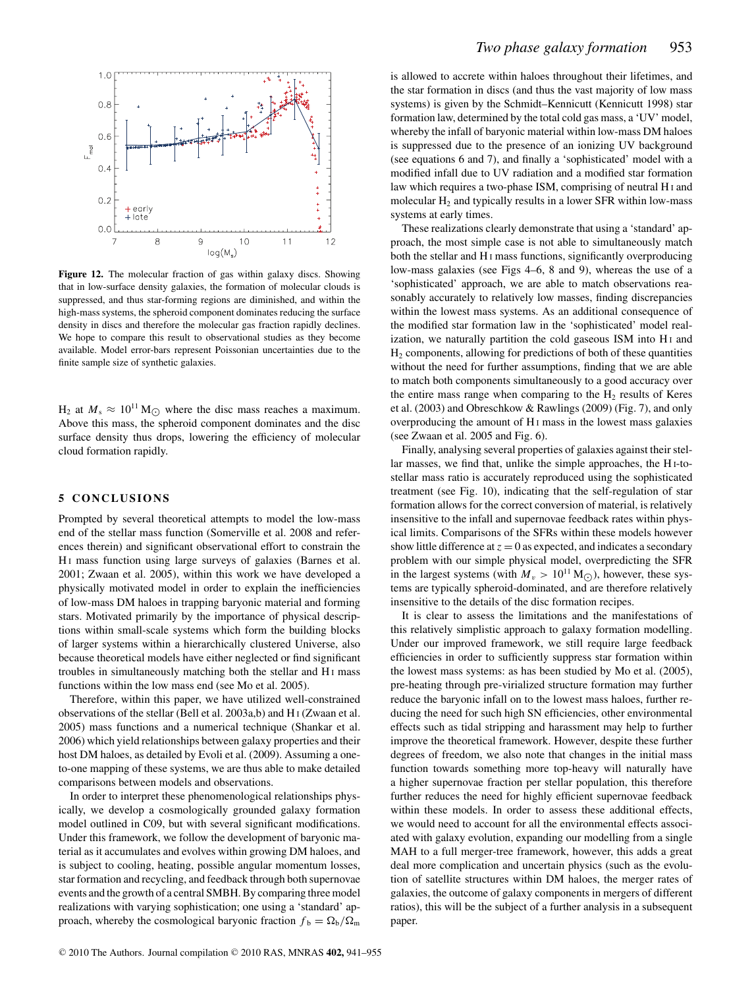

**Figure 12.** The molecular fraction of gas within galaxy discs. Showing that in low-surface density galaxies, the formation of molecular clouds is suppressed, and thus star-forming regions are diminished, and within the high-mass systems, the spheroid component dominates reducing the surface density in discs and therefore the molecular gas fraction rapidly declines. We hope to compare this result to observational studies as they become available. Model error-bars represent Poissonian uncertainties due to the finite sample size of synthetic galaxies.

 $H_2$  at  $M_s \approx 10^{11} M_{\odot}$  where the disc mass reaches a maximum. Above this mass, the spheroid component dominates and the disc surface density thus drops, lowering the efficiency of molecular cloud formation rapidly.

#### **5 CONCLUSIONS**

Prompted by several theoretical attempts to model the low-mass end of the stellar mass function (Somerville et al. 2008 and references therein) and significant observational effort to constrain the H<sub>1</sub> mass function using large surveys of galaxies (Barnes et al. 2001; Zwaan et al. 2005), within this work we have developed a physically motivated model in order to explain the inefficiencies of low-mass DM haloes in trapping baryonic material and forming stars. Motivated primarily by the importance of physical descriptions within small-scale systems which form the building blocks of larger systems within a hierarchically clustered Universe, also because theoretical models have either neglected or find significant troubles in simultaneously matching both the stellar and H <sup>I</sup> mass functions within the low mass end (see Mo et al. 2005).

Therefore, within this paper, we have utilized well-constrained observations of the stellar (Bell et al. 2003a,b) and H <sup>I</sup> (Zwaan et al. 2005) mass functions and a numerical technique (Shankar et al. 2006) which yield relationships between galaxy properties and their host DM haloes, as detailed by Evoli et al. (2009). Assuming a oneto-one mapping of these systems, we are thus able to make detailed comparisons between models and observations.

In order to interpret these phenomenological relationships physically, we develop a cosmologically grounded galaxy formation model outlined in C09, but with several significant modifications. Under this framework, we follow the development of baryonic material as it accumulates and evolves within growing DM haloes, and is subject to cooling, heating, possible angular momentum losses, star formation and recycling, and feedback through both supernovae events and the growth of a central SMBH. By comparing three model realizations with varying sophistication; one using a 'standard' approach, whereby the cosmological baryonic fraction  $f_b = \Omega_b/\Omega_m$  is allowed to accrete within haloes throughout their lifetimes, and the star formation in discs (and thus the vast majority of low mass systems) is given by the Schmidt–Kennicutt (Kennicutt 1998) star formation law, determined by the total cold gas mass, a 'UV' model, whereby the infall of baryonic material within low-mass DM haloes is suppressed due to the presence of an ionizing UV background (see equations 6 and 7), and finally a 'sophisticated' model with a modified infall due to UV radiation and a modified star formation law which requires a two-phase ISM, comprising of neutral H<sub>I</sub> and molecular  $H_2$  and typically results in a lower SFR within low-mass systems at early times.

These realizations clearly demonstrate that using a 'standard' approach, the most simple case is not able to simultaneously match both the stellar and H<sub>I</sub> mass functions, significantly overproducing low-mass galaxies (see Figs 4–6, 8 and 9), whereas the use of a 'sophisticated' approach, we are able to match observations reasonably accurately to relatively low masses, finding discrepancies within the lowest mass systems. As an additional consequence of the modified star formation law in the 'sophisticated' model realization, we naturally partition the cold gaseous ISM into  $H_1$  and H2 components, allowing for predictions of both of these quantities without the need for further assumptions, finding that we are able to match both components simultaneously to a good accuracy over the entire mass range when comparing to the  $H<sub>2</sub>$  results of Keres et al. (2003) and Obreschkow & Rawlings (2009) (Fig. 7), and only overproducing the amount of H<sub>I</sub> mass in the lowest mass galaxies (see Zwaan et al. 2005 and Fig. 6).

Finally, analysing several properties of galaxies against their stellar masses, we find that, unlike the simple approaches, the H I-tostellar mass ratio is accurately reproduced using the sophisticated treatment (see Fig. 10), indicating that the self-regulation of star formation allows for the correct conversion of material, is relatively insensitive to the infall and supernovae feedback rates within physical limits. Comparisons of the SFRs within these models however show little difference at  $z = 0$  as expected, and indicates a secondary problem with our simple physical model, overpredicting the SFR in the largest systems (with  $M_v > 10^{11} \,\mathrm{M}_{\odot}$ ), however, these systems are typically spheroid-dominated, and are therefore relatively insensitive to the details of the disc formation recipes.

It is clear to assess the limitations and the manifestations of this relatively simplistic approach to galaxy formation modelling. Under our improved framework, we still require large feedback efficiencies in order to sufficiently suppress star formation within the lowest mass systems: as has been studied by Mo et al. (2005), pre-heating through pre-virialized structure formation may further reduce the baryonic infall on to the lowest mass haloes, further reducing the need for such high SN efficiencies, other environmental effects such as tidal stripping and harassment may help to further improve the theoretical framework. However, despite these further degrees of freedom, we also note that changes in the initial mass function towards something more top-heavy will naturally have a higher supernovae fraction per stellar population, this therefore further reduces the need for highly efficient supernovae feedback within these models. In order to assess these additional effects, we would need to account for all the environmental effects associated with galaxy evolution, expanding our modelling from a single MAH to a full merger-tree framework, however, this adds a great deal more complication and uncertain physics (such as the evolution of satellite structures within DM haloes, the merger rates of galaxies, the outcome of galaxy components in mergers of different ratios), this will be the subject of a further analysis in a subsequent paper.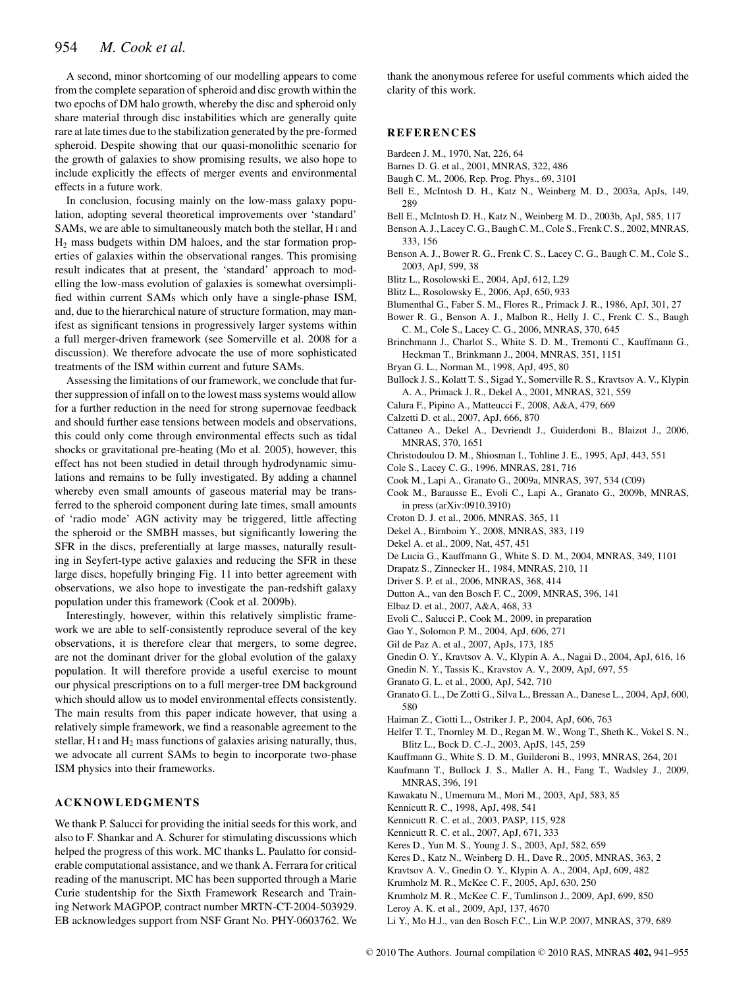A second, minor shortcoming of our modelling appears to come from the complete separation of spheroid and disc growth within the two epochs of DM halo growth, whereby the disc and spheroid only share material through disc instabilities which are generally quite rare at late times due to the stabilization generated by the pre-formed spheroid. Despite showing that our quasi-monolithic scenario for the growth of galaxies to show promising results, we also hope to include explicitly the effects of merger events and environmental effects in a future work.

In conclusion, focusing mainly on the low-mass galaxy population, adopting several theoretical improvements over 'standard' SAMs, we are able to simultaneously match both the stellar, H <sup>I</sup> and  $H<sub>2</sub>$  mass budgets within DM haloes, and the star formation properties of galaxies within the observational ranges. This promising result indicates that at present, the 'standard' approach to modelling the low-mass evolution of galaxies is somewhat oversimplified within current SAMs which only have a single-phase ISM, and, due to the hierarchical nature of structure formation, may manifest as significant tensions in progressively larger systems within a full merger-driven framework (see Somerville et al. 2008 for a discussion). We therefore advocate the use of more sophisticated treatments of the ISM within current and future SAMs.

Assessing the limitations of our framework, we conclude that further suppression of infall on to the lowest mass systems would allow for a further reduction in the need for strong supernovae feedback and should further ease tensions between models and observations, this could only come through environmental effects such as tidal shocks or gravitational pre-heating (Mo et al. 2005), however, this effect has not been studied in detail through hydrodynamic simulations and remains to be fully investigated. By adding a channel whereby even small amounts of gaseous material may be transferred to the spheroid component during late times, small amounts of 'radio mode' AGN activity may be triggered, little affecting the spheroid or the SMBH masses, but significantly lowering the SFR in the discs, preferentially at large masses, naturally resulting in Seyfert-type active galaxies and reducing the SFR in these large discs, hopefully bringing Fig. 11 into better agreement with observations, we also hope to investigate the pan-redshift galaxy population under this framework (Cook et al. 2009b).

Interestingly, however, within this relatively simplistic framework we are able to self-consistently reproduce several of the key observations, it is therefore clear that mergers, to some degree, are not the dominant driver for the global evolution of the galaxy population. It will therefore provide a useful exercise to mount our physical prescriptions on to a full merger-tree DM background which should allow us to model environmental effects consistently. The main results from this paper indicate however, that using a relatively simple framework, we find a reasonable agreement to the stellar, H<sub>I</sub> and  $H_2$  mass functions of galaxies arising naturally, thus, we advocate all current SAMs to begin to incorporate two-phase ISM physics into their frameworks.

### **ACKNOWLEDGMENTS**

We thank P. Salucci for providing the initial seeds for this work, and also to F. Shankar and A. Schurer for stimulating discussions which helped the progress of this work. MC thanks L. Paulatto for considerable computational assistance, and we thank A. Ferrara for critical reading of the manuscript. MC has been supported through a Marie Curie studentship for the Sixth Framework Research and Training Network MAGPOP, contract number MRTN-CT-2004-503929. EB acknowledges support from NSF Grant No. PHY-0603762. We

thank the anonymous referee for useful comments which aided the clarity of this work.

## **REFERENCES**

Bardeen J. M., 1970, Nat, 226, 64

- Barnes D. G. et al., 2001, MNRAS, 322, 486
- Baugh C. M., 2006, Rep. Prog. Phys., 69, 3101
- Bell E., McIntosh D. H., Katz N., Weinberg M. D., 2003a, ApJs, 149, 289
- Bell E., McIntosh D. H., Katz N., Weinberg M. D., 2003b, ApJ, 585, 117
- Benson A. J., Lacey C. G., Baugh C. M., Cole S., Frenk C. S., 2002, MNRAS, 333, 156
- Benson A. J., Bower R. G., Frenk C. S., Lacey C. G., Baugh C. M., Cole S., 2003, ApJ, 599, 38
- Blitz L., Rosolowski E., 2004, ApJ, 612, L29
- Blitz L., Rosolowsky E., 2006, ApJ, 650, 933
- Blumenthal G., Faber S. M., Flores R., Primack J. R., 1986, ApJ, 301, 27
- Bower R. G., Benson A. J., Malbon R., Helly J. C., Frenk C. S., Baugh C. M., Cole S., Lacey C. G., 2006, MNRAS, 370, 645
- Brinchmann J., Charlot S., White S. D. M., Tremonti C., Kauffmann G., Heckman T., Brinkmann J., 2004, MNRAS, 351, 1151
- Bryan G. L., Norman M., 1998, ApJ, 495, 80
- Bullock J. S., Kolatt T. S., Sigad Y., Somerville R. S., Kravtsov A. V., Klypin A. A., Primack J. R., Dekel A., 2001, MNRAS, 321, 559
- Calura F., Pipino A., Matteucci F., 2008, A&A, 479, 669
- Calzetti D. et al., 2007, ApJ, 666, 870
- Cattaneo A., Dekel A., Devriendt J., Guiderdoni B., Blaizot J., 2006, MNRAS, 370, 1651
- Christodoulou D. M., Shiosman I., Tohline J. E., 1995, ApJ, 443, 551
- Cole S., Lacey C. G., 1996, MNRAS, 281, 716
- Cook M., Lapi A., Granato G., 2009a, MNRAS, 397, 534 (C09)
- Cook M., Barausse E., Evoli C., Lapi A., Granato G., 2009b, MNRAS, in press (arXiv:0910.3910)
- Croton D. J. et al., 2006, MNRAS, 365, 11
- Dekel A., Birnboim Y., 2008, MNRAS, 383, 119
- Dekel A. et al., 2009, Nat, 457, 451
- De Lucia G., Kauffmann G., White S. D. M., 2004, MNRAS, 349, 1101
- Drapatz S., Zinnecker H., 1984, MNRAS, 210, 11
- Driver S. P. et al., 2006, MNRAS, 368, 414
- Dutton A., van den Bosch F. C., 2009, MNRAS, 396, 141
- Elbaz D. et al., 2007, A&A, 468, 33
- Evoli C., Salucci P., Cook M., 2009, in preparation
- Gao Y., Solomon P. M., 2004, ApJ, 606, 271
- Gil de Paz A. et al., 2007, ApJs, 173, 185
- Gnedin O. Y., Kravtsov A. V., Klypin A. A., Nagai D., 2004, ApJ, 616, 16
- Gnedin N. Y., Tassis K., Kravstov A. V., 2009, ApJ, 697, 55
- Granato G. L. et al., 2000, ApJ, 542, 710
- Granato G. L., De Zotti G., Silva L., Bressan A., Danese L., 2004, ApJ, 600, 580
- Haiman Z., Ciotti L., Ostriker J. P., 2004, ApJ, 606, 763
- Helfer T. T., Tnornley M. D., Regan M. W., Wong T., Sheth K., Vokel S. N., Blitz L., Bock D. C.-J., 2003, ApJS, 145, 259
- Kauffmann G., White S. D. M., Guilderoni B., 1993, MNRAS, 264, 201
- Kaufmann T., Bullock J. S., Maller A. H., Fang T., Wadsley J., 2009, MNRAS, 396, 191
- Kawakatu N., Umemura M., Mori M., 2003, ApJ, 583, 85
- Kennicutt R. C., 1998, ApJ, 498, 541
- Kennicutt R. C. et al., 2003, PASP, 115, 928
- Kennicutt R. C. et al., 2007, ApJ, 671, 333
- Keres D., Yun M. S., Young J. S., 2003, ApJ, 582, 659
- Keres D., Katz N., Weinberg D. H., Dave R., 2005, MNRAS, 363, 2
- Kravtsov A. V., Gnedin O. Y., Klypin A. A., 2004, ApJ, 609, 482
- Krumholz M. R., McKee C. F., 2005, ApJ, 630, 250
- Krumholz M. R., McKee C. F., Tumlinson J., 2009, ApJ, 699, 850
- Leroy A. K. et al., 2009, ApJ, 137, 4670
- Li Y., Mo H.J., van den Bosch F.C., Lin W.P. 2007, MNRAS, 379, 689